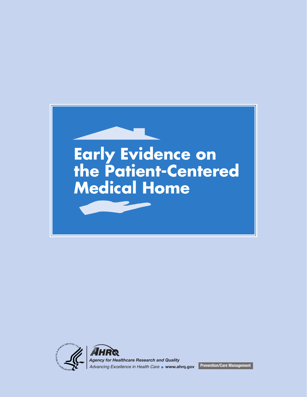



*Agency for Healthcare Research and Quality Advancing Excellence in Health Care* **www.ahrq.gov Prevention/Care Management**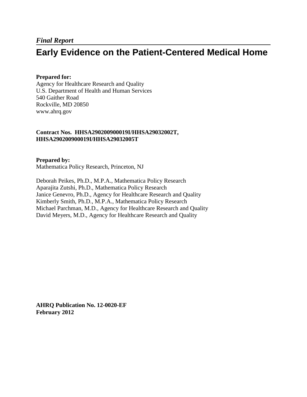## **Early Evidence on the Patient-Centered Medical Home**

#### **Prepared for:**

Agency for Healthcare Research and Quality U.S. Department of Health and Human Services 540 Gaither Road Rockville, MD 20850 www.ahrq.gov

#### **Contract Nos. HHSA290200900019I/HHSA29032002T, HHSA290200900019I/HHSA29032005T**

#### **Prepared by:**

Mathematica Policy Research, Princeton, NJ

Deborah Peikes, Ph.D., M.P.A., Mathematica Policy Research Aparajita Zutshi, Ph.D., Mathematica Policy Research Janice Genevro, Ph.D., Agency for Healthcare Research and Quality Kimberly Smith, Ph.D., M.P.A., Mathematica Policy Research Michael Parchman, M.D., Agency for Healthcare Research and Quality David Meyers, M.D., Agency for Healthcare Research and Quality

**AHRQ Publication No. 12-0020-EF February 2012**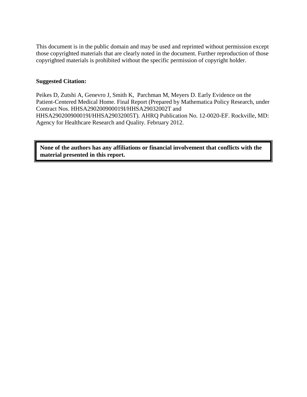This document is in the public domain and may be used and reprinted without permission except those copyrighted materials that are clearly noted in the document. Further reproduction of those copyrighted materials is prohibited without the specific permission of copyright holder.

#### **Suggested Citation:**

Peikes D, Zutshi A, Genevro J, Smith K, Parchman M, Meyers D. Early Evidence on the Patient-Centered Medical Home. Final Report (Prepared by Mathematica Policy Research, under Contract Nos. HHSA290200900019I/HHSA29032002T and HHSA290200900019I/HHSA29032005T). AHRQ Publication No. 12-0020-EF. Rockville, MD: Agency for Healthcare Research and Quality. February 2012.

**None of the authors has any affiliations or financial involvement that conflicts with the material presented in this report.**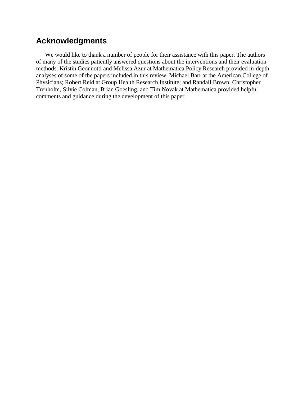### **Acknowledgments**

We would like to thank a number of people for their assistance with this paper. The authors of many of the studies patiently answered questions about the interventions and their evaluation methods. Kristin Geonnotti and Melissa Azur at Mathematica Policy Research provided in-depth analyses of some of the papers included in this review. Michael Barr at the American College of Physicians; Robert Reid at Group Health Research Institute; and Randall Brown, Christopher Trenholm, Silvie Colman, Brian Goesling, and Tim Novak at Mathematica provided helpful comments and guidance during the development of this paper.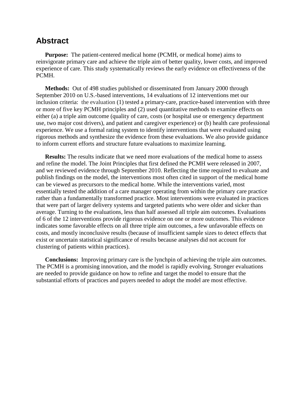### **Abstract**

**Purpose:** The patient-centered medical home (PCMH, or medical home) aims to reinvigorate primary care and achieve the triple aim of better quality, lower costs, and improved experience of care. This study systematically reviews the early evidence on effectiveness of the PCMH.

**Methods:** Out of 498 studies published or disseminated from January 2000 through September 2010 on U.S.-based interventions, 14 evaluations of 12 interventions met our inclusion criteria: the evaluation (1) tested a primary-care, practice-based intervention with three or more of five key PCMH principles and (2) used quantitative methods to examine effects on either (a) a triple aim outcome (quality of care, costs (or hospital use or emergency department use, two major cost drivers), and patient and caregiver experience) or (b) health care professional experience. We use a formal rating system to identify interventions that were evaluated using rigorous methods and synthesize the evidence from these evaluations. We also provide guidance to inform current efforts and structure future evaluations to maximize learning.

**Results:** The results indicate that we need more evaluations of the medical home to assess and refine the model. The Joint Principles that first defined the PCMH were released in 2007, and we reviewed evidence through September 2010. Reflecting the time required to evaluate and publish findings on the model, the interventions most often cited in support of the medical home can be viewed as precursors to the medical home. While the interventions varied, most essentially tested the addition of a care manager operating from within the primary care practice rather than a fundamentally transformed practice. Most interventions were evaluated in practices that were part of larger delivery systems and targeted patients who were older and sicker than average. Turning to the evaluations, less than half assessed all triple aim outcomes. Evaluations of 6 of the 12 interventions provide rigorous evidence on one or more outcomes. This evidence indicates some favorable effects on all three triple aim outcomes, a few unfavorable effects on costs, and mostly inconclusive results (because of insufficient sample sizes to detect effects that exist or uncertain statistical significance of results because analyses did not account for clustering of patients within practices).

**Conclusions:** Improving primary care is the lynchpin of achieving the triple aim outcomes. The PCMH is a promising innovation, and the model is rapidly evolving. Stronger evaluations are needed to provide guidance on how to refine and target the model to ensure that the substantial efforts of practices and payers needed to adopt the model are most effective.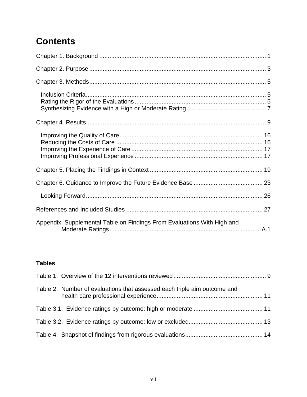# **Contents**

| Appendix Supplemental Table on Findings From Evaluations With High and |  |
|------------------------------------------------------------------------|--|

### **Tables**

| Table 2. Number of evaluations that assessed each triple aim outcome and |  |
|--------------------------------------------------------------------------|--|
|                                                                          |  |
|                                                                          |  |
|                                                                          |  |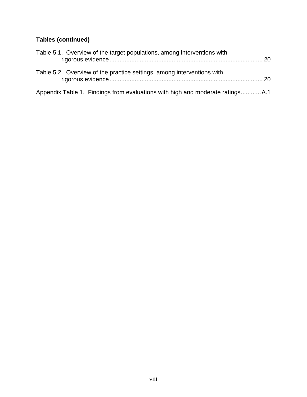### **Tables (continued)**

| Table 5.1. Overview of the target populations, among interventions with |  |
|-------------------------------------------------------------------------|--|
| Table 5.2. Overview of the practice settings, among interventions with  |  |
|                                                                         |  |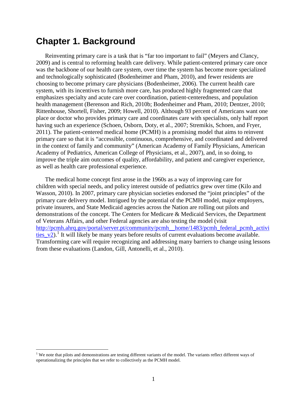## **Chapter 1. Background**

Reinventing primary care is a task that is "far too important to fail" (Meyers and Clancy, 2009) and is central to reforming health care delivery. While patient-centered primary care once was the backbone of our health care system, over time the system has become more specialized and technologically sophisticated (Bodenheimer and Pham, 2010), and fewer residents are choosing to become primary care physicians (Bodenheimer, 2006). The current health care system, with its incentives to furnish more care, has produced highly fragmented care that emphasizes specialty and acute care over coordination, patient-centeredness, and population health management (Berenson and Rich, 2010b; Bodenheimer and Pham, 2010; Dentzer, 2010; Rittenhouse, Shortell, Fisher, 2009; Howell, 2010). Although 93 percent of Americans want one place or doctor who provides primary care and coordinates care with specialists, only half report having such an experience (Schoen, Osborn, Doty, et al., 2007; Stremikis, Schoen, and Fryer, 2011). The patient-centered medical home (PCMH) is a promising model that aims to reinvent primary care so that it is "accessible, continuous, comprehensive, and coordinated and delivered in the context of family and community" (American Academy of Family Physicians, American Academy of Pediatrics, American College of Physicians, et al., 2007), and, in so doing, to improve the triple aim outcomes of quality, affordability, and patient and caregiver experience, as well as health care professional experience.

The medical home concept first arose in the 1960s as a way of improving care for children with special needs, and policy interest outside of pediatrics grew over time (Kilo and Wasson, 2010). In 2007, primary care physician societies endorsed the "joint principles" of the primary care delivery model. Intrigued by the potential of the PCMH model, major employers, private insurers, and State Medicaid agencies across the Nation are rolling out pilots and demonstrations of the concept. The Centers for Medicare & Medicaid Services, the Department of Veterans Affairs, and other Federal agencies are also testing the model (visit [http://pcmh.ahrq.gov/portal/server.pt/community/pcmh\\_\\_home/1483/pcmh\\_federal\\_pcmh\\_activi](http://pcmh.ahrq.gov/portal/server.pt/community/pcmh__home/1483/pcmh_federal_pcmh_activities_v2)  $\frac{\text{ties}}{\text{v2}}$ .<sup>[1](#page-9-0)</sup> It will likely be many years before results of current evaluations become available. Transforming care will require recognizing and addressing many barriers to change using lessons from these evaluations (Landon, Gill, Antonelli, et al., 2010).

<span id="page-9-0"></span><sup>&</sup>lt;sup>1</sup> We note that pilots and demonstrations are testing different variants of the model. The variants reflect different ways of operationalizing the principles that we refer to collectively as the PCMH model.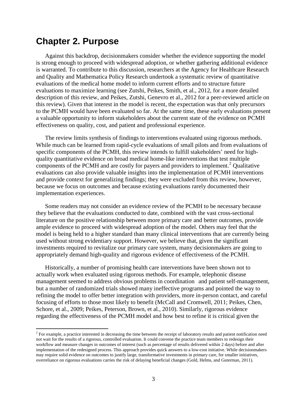## **Chapter 2. Purpose**

Against this backdrop, decisionmakers consider whether the evidence supporting the model is strong enough to proceed with widespread adoption, or whether gathering additional evidence is warranted. To contribute to this discussion, researchers at the Agency for Healthcare Research and Quality and Mathematica Policy Research undertook a systematic review of quantitative evaluations of the medical home model to inform current efforts and to structure future evaluations to maximize learning (see Zutshi, Peikes, Smith, et al., 2012, for a more detailed description of this review, and Peikes, Zutshi, Genevro et al., 2012 for a peer-reviewed article on this review). Given that interest in the model is recent, the expectation was that only precursors to the PCMH would have been evaluated so far. At the same time, these early evaluations present a valuable opportunity to inform stakeholders about the current state of the evidence on PCMH effectiveness on quality, cost, and patient and professional experience.

The review limits synthesis of findings to interventions evaluated using rigorous methods. While much can be learned from rapid-cycle evaluations of small pilots and from evaluations of specific components of the PCMH, this review intends to fulfill stakeholders' need for highquality quantitative evidence on broad medical home-like interventions that test multiple components of the PCMH and are costly for payers and providers to implement.<sup>[2](#page-11-0)</sup> Qualitative evaluations can also provide valuable insights into the implementation of PCMH interventions and provide context for generalizing findings; they were excluded from this review, however, because we focus on outcomes and because existing evaluations rarely documented their implementation experiences.

Some readers may not consider an evidence review of the PCMH to be necessary because they believe that the evaluations conducted to date, combined with the vast cross-sectional literature on the positive relationship between more primary care and better outcomes, provide ample evidence to proceed with widespread adoption of the model. Others may feel that the model is being held to a higher standard than many clinical interventions that are currently being used without strong evidentiary support. However, we believe that, given the significant investments required to revitalize our primary care system, many decisionmakers are going to appropriately demand high-quality and rigorous evidence of effectiveness of the PCMH.

Historically, a number of promising health care interventions have been shown not to actually work when evaluated using rigorous methods. For example, telephonic disease management seemed to address obvious problems in coordination and patient self-management, but a number of randomized trials showed many ineffective programs and pointed the way to refining the model to offer better integration with providers, more in-person contact, and careful focusing of efforts to those most likely to benefit (McCall and Cromwell, 2011; Peikes, Chen, Schore, et al., 2009; Peikes, Peterson, Brown, et al., 2010). Similarly, rigorous evidence regarding the effectiveness of the PCMH model and how best to refine it is critical given the

<span id="page-11-0"></span><sup>&</sup>lt;sup>2</sup> For example, a practice interested in decreasing the time between the receipt of laboratory results and patient notification need not wait for the results of a rigorous, controlled evaluation. It could convene the practice team members to redesign their workflow and measure changes in outcomes of interest (such as percentage of results delivered within 2 days) before and after implementation of the redesigned process. This approach provides quick answers to a low-cost initiative. While decisionmakers may require solid evidence on outcomes to justify large, transformative investments in primary care, for smaller initiatives, overreliance on rigorous evaluations carries the risk of delaying beneficial changes (Gold, Helms, and Guterman, 2011).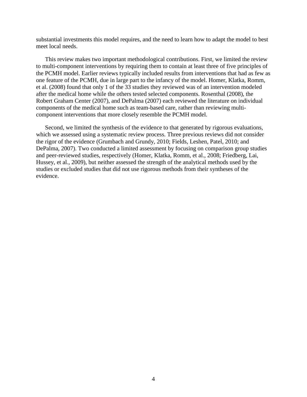substantial investments this model requires, and the need to learn how to adapt the model to best meet local needs.

This review makes two important methodological contributions. First, we limited the review to multi-component interventions by requiring them to contain at least three of five principles of the PCMH model. Earlier reviews typically included results from interventions that had as few as one feature of the PCMH, due in large part to the infancy of the model. Homer, Klatka, Romm, et al. (2008) found that only 1 of the 33 studies they reviewed was of an intervention modeled after the medical home while the others tested selected components. Rosenthal (2008), the Robert Graham Center (2007), and DePalma (2007) each reviewed the literature on individual components of the medical home such as team-based care, rather than reviewing multicomponent interventions that more closely resemble the PCMH model.

Second, we limited the synthesis of the evidence to that generated by rigorous evaluations, which we assessed using a systematic review process. Three previous reviews did not consider the rigor of the evidence (Grumbach and Grundy, 2010; Fields, Leshen, Patel, 2010; and DePalma, 2007). Two conducted a limited assessment by focusing on comparison group studies and peer-reviewed studies, respectively (Homer, Klatka, Romm, et al., 2008; Friedberg, Lai, Hussey, et al., 2009), but neither assessed the strength of the analytical methods used by the studies or excluded studies that did not use rigorous methods from their syntheses of the evidence.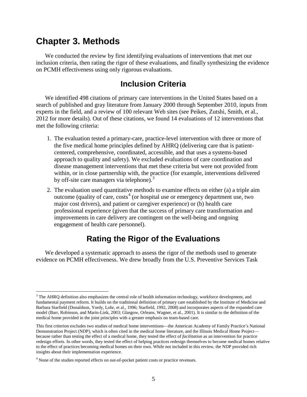## **Chapter 3. Methods**

We conducted the review by first identifying evaluations of interventions that met our inclusion criteria, then rating the rigor of these evaluations, and finally synthesizing the evidence on PCMH effectiveness using only rigorous evaluations.

### **Inclusion Criteria**

We identified 498 citations of primary care interventions in the United States based on a search of published and gray literature from January 2000 through September 2010, inputs from experts in the field, and a review of 100 relevant Web sites (see Peikes, Zutshi, Smith, et al., 2012 for more details). Out of these citations, we found 14 evaluations of 12 interventions that met the following criteria:

- 1. The evaluation tested a primary-care, practice-level intervention with three or more of the five medical home principles defined by AHRQ (delivering care that is patientcentered, comprehensive, coordinated, accessible, and that uses a systems-based approach to quality and safety). We excluded evaluations of care coordination and disease management interventions that met these criteria but were not provided from within, or in close partnership with, the practice (for example, interventions delivered by off-site care managers via telephone).<sup>[3](#page-13-0)</sup>
- 2. The evaluation used quantitative methods to examine effects on either (a) a triple aim outcome (quality of care,  $cost^4$  $cost^4$  (or hospital use or emergency department use, two major cost drivers), and patient or caregiver experience) or (b) health care professional experience (given that the success of primary care transformation and improvements in care delivery are contingent on the well-being and ongoing engagement of health care personnel).

### **Rating the Rigor of the Evaluations**

We developed a systematic approach to assess the rigor of the methods used to generate evidence on PCMH effectiveness. We drew broadly from the U.S. Preventive Services Task

<span id="page-13-0"></span><sup>&</sup>lt;sup>3</sup> The AHRQ definition also emphasizes the central role of health information technology, workforce development, and fundamental payment reform. It builds on the traditional definition of primary care established by the Institute of Medicine and Barbara Starfield (Donaldson, Yordy, Lohr, et al., 1996; Starfield, 1992, 2008) and incorporates aspects of the expanded care model (Barr, Robinson, and Marin-Link, 2003; Glasgow, Orleans, Wagner, et al., 2001). It is similar to the definition of the medical home provided in the joint principles with a greater emphasis on team-based care.

This first criterion excludes two studies of medical home interventions—the American Academy of Family Practice's National Demonstration Project (NDP), which is often cited in the medical home literature, and the Illinois Medical Home Project because rather than testing the effect of a medical home, they tested the effect of *facilitation* as an intervention for practice redesign efforts. In other words, they tested the effect of helping practices redesign themselves to become medical homes relative to the effect of practices becoming medical homes on their own. While not included in this review, the NDP provided rich insights about their implementation experience.

<span id="page-13-1"></span><sup>&</sup>lt;sup>4</sup> None of the studies reported effects on out-of-pocket patient costs or practice revenues.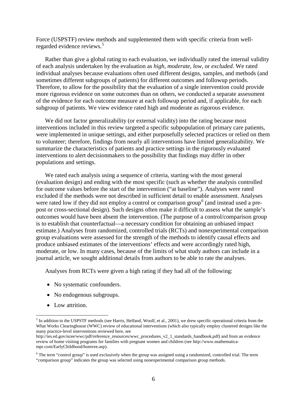Force (USPSTF) review methods and supplemented them with specific criteria from wellregarded evidence reviews. [5](#page-14-0)

Rather than give a global rating to each evaluation, we individually rated the internal validity of each analysis undertaken by the evaluation as *high*, *moderate*, *low*, or *excluded*. We rated individual analyses because evaluations often used different designs, samples, and methods (and sometimes different subgroups of patients) for different outcomes and followup periods. Therefore, to allow for the possibility that the evaluation of a single intervention could provide more rigorous evidence on some outcomes than on others, we conducted a separate assessment of the evidence for each outcome measure at each followup period and, if applicable, for each subgroup of patients. We view evidence rated high and moderate as rigorous evidence.

We did not factor generalizability (or external validity) into the rating because most interventions included in this review targeted a specific subpopulation of primary care patients, were implemented in unique settings, and either purposefully selected practices or relied on them to volunteer; therefore, findings from nearly all interventions have limited generalizability. We summarize the characteristics of patients and practice settings in the rigorously evaluated interventions to alert decisionmakers to the possibility that findings may differ in other populations and settings.

We rated each analysis using a sequence of criteria, starting with the most general (evaluation design) and ending with the most specific (such as whether the analysis controlled for outcome values before the start of the intervention ("at baseline"). Analyses were rated excluded if the methods were not described in sufficient detail to enable assessment. Analyses were rated low if they did not employ a control or comparison group<sup>[6](#page-14-1)</sup> (and instead used a prepost or cross-sectional design). Such designs often make it difficult to assess what the sample's outcomes would have been absent the intervention. (The purpose of a control/comparison group is to establish that counterfactual—a necessary condition for obtaining an unbiased impact estimate.) Analyses from randomized, controlled trials (RCTs) and nonexperimental comparison group evaluations were assessed for the strength of the methods to identify causal effects and produce unbiased estimates of the interventions' effects and were accordingly rated high, moderate, or low. In many cases, because of the limits of what study authors can include in a journal article, we sought additional details from authors to be able to rate the analyses.

Analyses from RCTs were given a high rating if they had all of the following:

- No systematic confounders.
- No endogenous subgroups.
- Low attrition.

<span id="page-14-0"></span> $<sup>5</sup>$  In addition to the USPSTF methods (see Harris, Helfand, Woolf, et al., 2001), we drew specific operational criteria from the</sup> What Works Clearinghouse (WWC) review of educational interventions (which also typically employ clustered designs like the many practice-level interventions reviewed here, see

http://ies.ed.gov/ncee/wwc/pdf/reference\_resources/wwc\_procedures\_v2\_1\_standards\_handbook.pdf) and from an evidence review of home visiting programs for families with pregnant women and children (se[e http://www.mathematica](http://www.mathematica-mpr.com/EarlyChildhood/homvee.asp)[mpr.com/EarlyChildhood/homvee.asp\)](http://www.mathematica-mpr.com/EarlyChildhood/homvee.asp).

<span id="page-14-1"></span><sup>6</sup> The term "control group" is used exclusively when the group was assigned using a randomized, controlled trial. The term "comparison group" indicates the group was selected using nonexperimental comparison group methods.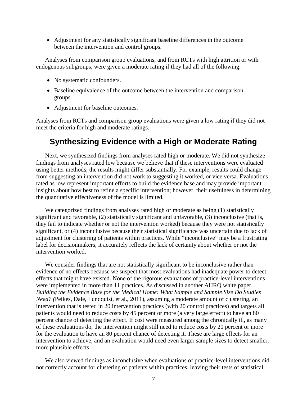• Adjustment for any statistically significant baseline differences in the outcome between the intervention and control groups.

Analyses from comparison group evaluations, and from RCTs with high attrition or with endogenous subgroups, were given a moderate rating if they had all of the following:

- No systematic confounders.
- Baseline equivalence of the outcome between the intervention and comparison groups.
- Adjustment for baseline outcomes.

Analyses from RCTs and comparison group evaluations were given a low rating if they did not meet the criteria for high and moderate ratings.

### **Synthesizing Evidence with a High or Moderate Rating**

Next, we synthesized findings from analyses rated high or moderate. We did not synthesize findings from analyses rated low because we believe that if these interventions were evaluated using better methods, the results might differ substantially. For example, results could change from suggesting an intervention did not work to suggesting it worked, or vice versa. Evaluations rated as low represent important efforts to build the evidence base and may provide important insights about how best to refine a specific intervention; however, their usefulness in determining the quantitative effectiveness of the model is limited.

We categorized findings from analyses rated high or moderate as being (1) statistically significant and favorable, (2) statistically significant and unfavorable, (3) inconclusive (that is, they fail to indicate whether or not the intervention worked) because they were not statistically significant, or (4) inconclusive because their statistical significance was uncertain due to lack of adjustment for clustering of patients within practices. While "inconclusive" may be a frustrating label for decisionmakers, it accurately reflects the lack of certainty about whether or not the intervention worked.

We consider findings that are not statistically significant to be inconclusive rather than evidence of no effects because we suspect that most evaluations had inadequate power to detect effects that might have existed. None of the rigorous evaluations of practice-level interventions were implemented in more than 11 practices. As discussed in another AHRQ white paper, *Building the Evidence Base for the Medical Home: What Sample and Sample Size Do Studies Need? (*Peikes, Dale, Lundquist, et al., 2011), assuming a moderate amount of clustering, an intervention that is tested in 20 intervention practices (with 20 control practices) and targets all patients would need to reduce costs by 45 percent or more (a very large effect) to have an 80 percent chance of detecting the effect. If cost were measured among the chronically ill, as many of these evaluations do, the intervention might still need to reduce costs by 20 percent or more for the evaluation to have an 80 percent chance of detecting it. These are large effects for an intervention to achieve, and an evaluation would need even larger sample sizes to detect smaller, more plausible effects.

We also viewed findings as inconclusive when evaluations of practice-level interventions did not correctly account for clustering of patients within practices, leaving their tests of statistical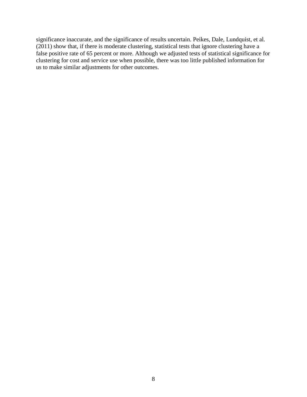significance inaccurate, and the significance of results uncertain. Peikes, Dale, Lundquist, et al. (2011) show that, if there is moderate clustering, statistical tests that ignore clustering have a false positive rate of 65 percent or more. Although we adjusted tests of statistical significance for clustering for cost and service use when possible, there was too little published information for us to make similar adjustments for other outcomes.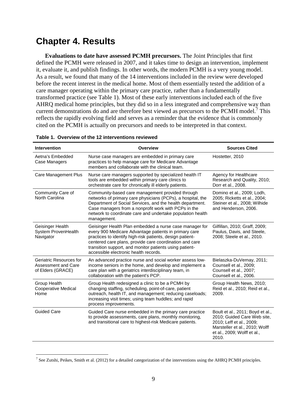## **Chapter 4. Results**

**Evaluations to date have assessed PCMH precursors.** The Joint Principles that first defined the PCMH were released in 2007, and it takes time to design an intervention, implement it, evaluate it, and publish findings. In other words, the modern PCMH is a very young model. As a result, we found that many of the 14 interventions included in the review were developed before the recent interest in the medical home. Most of them essentially tested the addition of a care manager operating within the primary care practice, rather than a fundamentally transformed practice (see Table 1). Most of these early interventions included each of the five AHRQ medical home principles, but they did so in a less integrated and comprehensive way than current demonstrations do and are therefore best viewed as precursors to the PCMH model.<sup>[7](#page-17-0)</sup> This reflects the rapidly evolving field and serves as a reminder that the evidence that is commonly cited on the PCMH is actually on precursors and needs to be interpreted in that context.

| <b>Intervention</b>                                                 | <b>Overview</b>                                                                                                                                                                                                                                                                                                                              | <b>Sources Cited</b>                                                                                                                                                  |
|---------------------------------------------------------------------|----------------------------------------------------------------------------------------------------------------------------------------------------------------------------------------------------------------------------------------------------------------------------------------------------------------------------------------------|-----------------------------------------------------------------------------------------------------------------------------------------------------------------------|
| Aetna's Embedded<br>Case Managers                                   | Nurse case managers are embedded in primary care<br>practices to help manage care for Medicare Advantage<br>members and collaborate with the clinical team.                                                                                                                                                                                  | Hostetter, 2010                                                                                                                                                       |
| Care Management Plus                                                | Nurse care managers supported by specialized health IT<br>tools are embedded within primary care clinics to<br>orchestrate care for chronically ill elderly patients.                                                                                                                                                                        | Agency for Healthcare<br>Research and Quality, 2010;<br>Dorr et al., 2008.                                                                                            |
| Community Care of<br>North Carolina                                 | Community-based care management provided through<br>networks of primary care physicians (PCPs), a hospital, the<br>Department of Social Services, and the health department.<br>Case managers from a nonprofit work with PCPs in the<br>network to coordinate care and undertake population health<br>management.                            | Domino et al., 2009; Lodh,<br>2005; Ricketts et al., 2004;<br>Steiner et al., 2008; Wilhide<br>and Henderson, 2006.                                                   |
| Geisinger Health<br>System ProvenHealth<br>Navigator                | Geisinger Health Plan embedded a nurse case manager for<br>every 900 Medicare Advantage patients in primary care<br>practices to identify high-risk patients, design patient-<br>centered care plans, provide care coordination and care<br>transition support, and monitor patients using patient-<br>accessible electronic health records. | Gilfillan, 2010; Graff, 2009;<br>Paulus, Davis, and Steele,<br>2008; Steele et al., 2010.                                                                             |
| Geriatric Resources for<br>Assessment and Care<br>of Elders (GRACE) | An advanced practice nurse and social worker assess low-<br>income seniors in the home, and develop and implement a<br>care plan with a geriatrics interdisciplinary team, in<br>collaboration with the patient's PCP.                                                                                                                       | Bielaszka-DuVernay, 2011;<br>Counsell et al., 2009;<br>Counsell et al., 2007;<br>Counsell et al., 2006.                                                               |
| Group Health<br>Cooperative Medical<br>Home                         | Group Health redesigned a clinic to be a PCMH by<br>changing staffing, scheduling, point-of-care, patient<br>outreach, health IT, and management; reducing caseloads;<br>increasing visit times; using team huddles; and rapid<br>process improvements.                                                                                      | Group Health News, 2010;<br>Reid et al., 2010; Reid et al.,<br>2009.                                                                                                  |
| <b>Guided Care</b>                                                  | Guided Care nurse embedded in the primary care practice<br>to provide assessments, care plans, monthly monitoring,<br>and transitional care to highest-risk Medicare patients.                                                                                                                                                               | Boult et al., 2011; Boyd et al.,<br>2010; Guided Care Web site,<br>2010; Leff et al., 2009;<br>Marsteller et al., 2010; Wolff<br>et al., 2009; Wolff et al.,<br>2010. |

#### **Table 1. Overview of the 12 interventions reviewed**

<span id="page-17-0"></span><sup>&</sup>lt;sup>7</sup> See Zutshi, Peikes, Smith et al. (2012) for a detailed categorization of the interventions using the AHRQ PCMH principles.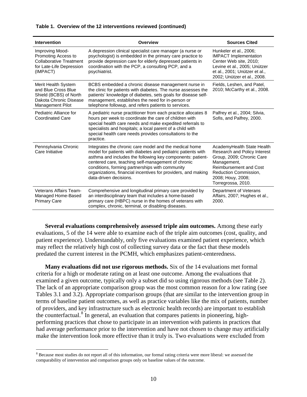#### **Table 1. Overview of the 12 interventions reviewed (continued)**

| <b>Intervention</b>                                                                                                       | <b>Overview</b>                                                                                                                                                                                                                                                                                                                                                                          | <b>Sources Cited</b>                                                                                                                                                                                        |
|---------------------------------------------------------------------------------------------------------------------------|------------------------------------------------------------------------------------------------------------------------------------------------------------------------------------------------------------------------------------------------------------------------------------------------------------------------------------------------------------------------------------------|-------------------------------------------------------------------------------------------------------------------------------------------------------------------------------------------------------------|
| Improving Mood-<br>Promoting Access to<br><b>Collaborative Treatment</b><br>for Late-Life Depression<br>(IMPACT)          | A depression clinical specialist care manager (a nurse or<br>psychologist) is embedded in the primary care practice to<br>provide depression care for elderly depressed patients in<br>coordination with the PCP, a consulting PCP, and a<br>psychiatrist.                                                                                                                               | Hunkeler et al., 2006;<br><b>IMPACT</b> Implementation<br>Center Web site, 2010;<br>Levine et al., 2005; Unützer<br>et al., 2001; Unützer et al.,<br>2002; Unützer et al., 2008.                            |
| Merit Health System<br>and Blue Cross Blue<br>Shield (BCBS) of North<br>Dakota Chronic Disease<br><b>Management Pilot</b> | BCBS embedded a chronic disease management nurse in<br>the clinic for patients with diabetes. The nurse assesses the<br>patients' knowledge of diabetes, sets goals for disease self-<br>management, establishes the need for in-person or<br>telephone followup, and refers patients to services.                                                                                       | Fields, Leshen, and Patel,<br>2010; McCarthy et al., 2008.                                                                                                                                                  |
| Pediatric Alliance for<br><b>Coordinated Care</b>                                                                         | A pediatric nurse practitioner from each practice allocates 8<br>hours per week to coordinate the care of children with<br>special health care needs and make expedited referrals to<br>specialists and hospitals; a local parent of a child with<br>special health care needs provides consultations to the<br>practice.                                                                | Palfrey et al., 2004; Silvia,<br>Sofis, and Palfrey, 2000.                                                                                                                                                  |
| Pennsylvania Chronic<br>Care Initiative                                                                                   | Integrates the chronic care model and the medical home<br>model for patients with diabetes and pediatric patients with<br>asthma and includes the following key components: patient-<br>centered care, teaching self-management of chronic<br>conditions, forming partnerships with community<br>organizations, financial incentives for providers, and making<br>data-driven decisions. | AcademyHealth State Health<br>Research and Policy Interest<br>Group, 2009; Chronic Care<br>Management,<br><b>Reimbursement and Cost</b><br>Reduction Commission,<br>2008; Houy, 2008;<br>Torregrossa, 2010. |
| <b>Veterans Affairs Team-</b><br>Managed Home-Based<br><b>Primary Care</b>                                                | Comprehensive and longitudinal primary care provided by<br>an interdisciplinary team that includes a home-based<br>primary care (HBPC) nurse in the homes of veterans with<br>complex, chronic, terminal, or disabling diseases.                                                                                                                                                         | Department of Veterans<br>Affairs, 2007; Hughes et al.,<br>2000.                                                                                                                                            |

**Several evaluations comprehensively assessed triple aim outcomes.** Among these early evaluations, 5 of the 14 were able to examine each of the triple aim outcomes (cost, quality, and patient experience). Understandably, only five evaluations examined patient experience, which may reflect the relatively high cost of collecting survey data or the fact that these models predated the current interest in the PCMH, which emphasizes patient-centeredness.

**Many evaluations did not use rigorous methods.** Six of the 14 evaluations met formal criteria for a high or moderate rating on at least one outcome. Among the evaluations that examined a given outcome, typically only a subset did so using rigorous methods (see Table 2). The lack of an appropriate comparison group was the most common reason for a low rating (see Tables 3.1 and 3.2). Appropriate comparison groups (that are similar to the intervention group in terms of baseline patient outcomes, as well as practice variables like the mix of patients, number of providers, and key infrastructure such as electronic health records) are important to establish the counterfactual.<sup>[8](#page-18-0)</sup> In general, an evaluation that compares patients in pioneering, highperforming practices that chose to participate in an intervention with patients in practices that had average performance prior to the intervention and have not chosen to change may artificially make the intervention look more effective than it truly is. Two evaluations were excluded from

<span id="page-18-0"></span><sup>&</sup>lt;sup>8</sup> Because most studies do not report all of this information, our formal rating criteria were more liberal: we assessed the comparability of intervention and comparison groups only on baseline values of the outcome.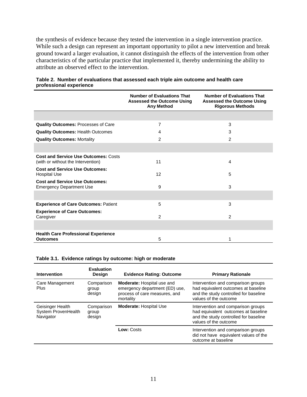the synthesis of evidence because they tested the intervention in a single intervention practice. While such a design can represent an important opportunity to pilot a new intervention and break ground toward a larger evaluation, it cannot distinguish the effects of the intervention from other characteristics of the particular practice that implemented it, thereby undermining the ability to attribute an observed effect to the intervention.

|                                                                                   | <b>Number of Evaluations That</b><br><b>Assessed the Outcome Using</b><br><b>Any Method</b> | <b>Number of Evaluations That</b><br><b>Assessed the Outcome Using</b><br><b>Rigorous Methods</b> |
|-----------------------------------------------------------------------------------|---------------------------------------------------------------------------------------------|---------------------------------------------------------------------------------------------------|
|                                                                                   |                                                                                             |                                                                                                   |
| <b>Quality Outcomes: Processes of Care</b>                                        | 7                                                                                           | 3                                                                                                 |
| <b>Quality Outcomes: Health Outcomes</b>                                          | 4                                                                                           | 3                                                                                                 |
| <b>Quality Outcomes: Mortality</b>                                                | $\overline{2}$                                                                              | $\overline{2}$                                                                                    |
|                                                                                   |                                                                                             |                                                                                                   |
| <b>Cost and Service Use Outcomes: Costs</b><br>(with or without the Intervention) | 11                                                                                          | 4                                                                                                 |
| <b>Cost and Service Use Outcomes:</b><br><b>Hospital Use</b>                      | 12                                                                                          | 5                                                                                                 |
| <b>Cost and Service Use Outcomes:</b><br><b>Emergency Department Use</b>          | 9                                                                                           | 3                                                                                                 |
|                                                                                   |                                                                                             |                                                                                                   |
| <b>Experience of Care Outcomes: Patient</b>                                       | 5                                                                                           | 3                                                                                                 |
| <b>Experience of Care Outcomes:</b><br>Caregiver                                  | 2                                                                                           | $\mathcal{P}$                                                                                     |
|                                                                                   |                                                                                             |                                                                                                   |
| <b>Health Care Professional Experience</b><br><b>Outcomes</b>                     | 5                                                                                           |                                                                                                   |

#### **Table 2. Number of evaluations that assessed each triple aim outcome and health care professional experience**

#### **Table 3.1. Evidence ratings by outcome: high or moderate**

| <b>Intervention</b>                                  | <b>Evaluation</b><br>Design   | <b>Evidence Rating: Outcome</b>                                                                            | <b>Primary Rationale</b>                                                                                                                    |
|------------------------------------------------------|-------------------------------|------------------------------------------------------------------------------------------------------------|---------------------------------------------------------------------------------------------------------------------------------------------|
| Care Management<br>Plus                              | Comparison<br>group<br>design | Moderate: Hospital use and<br>emergency department (ED) use,<br>process of care measures, and<br>mortality | Intervention and comparison groups<br>had equivalent outcomes at baseline<br>and the study controlled for baseline<br>values of the outcome |
| Geisinger Health<br>System ProvenHealth<br>Navigator | Comparison<br>group<br>design | <b>Moderate: Hospital Use</b>                                                                              | Intervention and comparison groups<br>had equivalent outcomes at baseline<br>and the study controlled for baseline<br>values of the outcome |
|                                                      |                               | Low: Costs                                                                                                 | Intervention and comparison groups<br>did not have equivalent values of the<br>outcome at baseline                                          |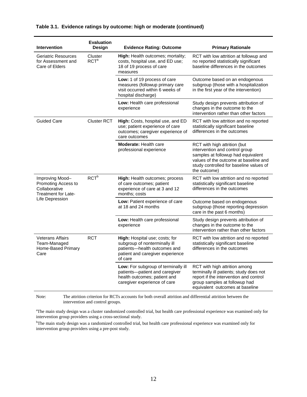| <b>Intervention</b>                                                                               | <b>Evaluation</b><br>Design | <b>Evidence Rating: Outcome</b>                                                                                                                | <b>Primary Rationale</b>                                                                                                                                                                                 |
|---------------------------------------------------------------------------------------------------|-----------------------------|------------------------------------------------------------------------------------------------------------------------------------------------|----------------------------------------------------------------------------------------------------------------------------------------------------------------------------------------------------------|
| <b>Geriatric Resources</b><br>for Assessment and<br>Care of Elders                                | Cluster<br>RCT <sup>a</sup> | High: Health outcomes; mortality;<br>costs, hospital use, and ED use;<br>18 of 19 process of care<br>measures                                  | RCT with low attrition at followup and<br>no reported statistically significant<br>baseline differences in the outcomes                                                                                  |
|                                                                                                   |                             | Low: 1 of 19 process of care<br>measures (followup primary care<br>visit occurred within 6 weeks of<br>hospital discharge)                     | Outcome based on an endogenous<br>subgroup (those with a hospitalization<br>in the first year of the intervention)                                                                                       |
|                                                                                                   |                             | Low: Health care professional<br>experience                                                                                                    | Study design prevents attribution of<br>changes in the outcome to the<br>intervention rather than other factors                                                                                          |
| <b>Guided Care</b>                                                                                | <b>Cluster RCT</b>          | High: Costs, hospital use, and ED<br>use; patient experience of care<br>outcomes; caregiver experience of<br>care outcomes                     | RCT with low attrition and no reported<br>statistically significant baseline<br>differences in the outcomes                                                                                              |
|                                                                                                   |                             | <b>Moderate: Health care</b><br>professional experience                                                                                        | RCT with high attrition (but<br>intervention and control group<br>samples at followup had equivalent<br>values of the outcome at baseline and<br>study controlled for baseline values of<br>the outcome) |
| Improving Mood-<br>Promoting Access to<br>Collaborative<br>Treatment for Late-<br>Life Depression | RCT <sup>b</sup>            | <b>High:</b> Health outcomes; process<br>of care outcomes; patient<br>experience of care at 3 and 12<br>months; costs                          | RCT with low attrition and no reported<br>statistically significant baseline<br>differences in the outcomes                                                                                              |
|                                                                                                   |                             | Low: Patient experience of care<br>at 18 and 24 months                                                                                         | Outcome based on endogenous<br>subgroup (those reporting depression<br>care in the past 6 months)                                                                                                        |
|                                                                                                   |                             | Low: Health care professional<br>experience                                                                                                    | Study design prevents attribution of<br>changes in the outcome to the<br>intervention rather than other factors                                                                                          |
| <b>Veterans Affairs</b><br>Team-Managed<br>Home-Based Primary<br>Care                             | <b>RCT</b>                  | High: Hospital use; costs; for<br>subgroup of nonterminally ill<br>patients-health outcomes and<br>patient and caregiver experience<br>of care | RCT with low attrition and no reported<br>statistically significant baseline<br>differences in the outcomes                                                                                              |
|                                                                                                   |                             | Low: For subgroup of terminally ill<br>patients-patient and caregiver<br>health outcomes; patient and<br>caregiver experience of care          | RCT with high attrition among<br>terminally ill patients; study does not<br>report if the intervention and control<br>group samples at followup had<br>equivalent outcomes at baseline                   |

#### **Table 3.1. Evidence ratings by outcome: high or moderate (continued)**

Note: The attrition criterion for RCTs accounts for both overall attrition and differential attrition between the intervention and control groups.

<sup>a</sup>The main study design was a cluster randomized controlled trial, but health care professional experience was examined only for intervention group providers using a cross-sectional study.

<sup>b</sup>The main study design was a randomized controlled trial, but health care professional experience was examined only for intervention group providers using a pre-post study.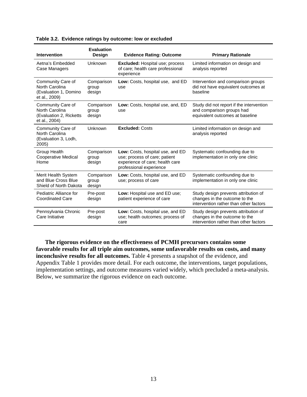| <b>Intervention</b>                                                             | <b>Evaluation</b><br><b>Design</b> | <b>Evidence Rating: Outcome</b>                                                                                                 | <b>Primary Rationale</b>                                                                                        |
|---------------------------------------------------------------------------------|------------------------------------|---------------------------------------------------------------------------------------------------------------------------------|-----------------------------------------------------------------------------------------------------------------|
| Aetna's Embedded<br>Case Managers                                               | Unknown                            | <b>Excluded:</b> Hospital use; process<br>of care; health care professional<br>experience                                       | Limited information on design and<br>analysis reported                                                          |
| Community Care of<br>North Carolina<br>(Evaluation 1, Domino<br>et al., 2009)   | Comparison<br>group<br>design      | Low: Costs, hospital use, and ED<br>use                                                                                         | Intervention and comparison groups<br>did not have equivalent outcomes at<br>baseline                           |
| Community Care of<br>North Carolina<br>(Evaluation 2, Ricketts<br>et al., 2004) | Comparison<br>group<br>design      | Low: Costs, hospital use, and, ED<br>use                                                                                        | Study did not report if the intervention<br>and comparison groups had<br>equivalent outcomes at baseline        |
| Community Care of<br>North Carolina<br>(Evaluation 3, Lodh,<br>2005)            | Unknown                            | <b>Excluded: Costs</b>                                                                                                          | Limited information on design and<br>analysis reported                                                          |
| Group Health<br>Cooperative Medical<br>Home                                     | Comparison<br>group<br>design      | Low: Costs, hospital use, and ED<br>use; process of care; patient<br>experience of care; health care<br>professional experience | Systematic confounding due to<br>implementation in only one clinic                                              |
| Merit Health System<br>and Blue Cross Blue<br>Shield of North Dakota            | Comparison<br>group<br>design      | Low: Costs, hospital use, and ED<br>use; process of care                                                                        | Systematic confounding due to<br>implementation in only one clinic                                              |
| Pediatric Alliance for<br><b>Coordinated Care</b>                               | Pre-post<br>design                 | Low: Hospital use and ED use;<br>patient experience of care                                                                     | Study design prevents attribution of<br>changes in the outcome to the<br>intervention rather than other factors |
| Pennsylvania Chronic<br>Care Initiative                                         | Pre-post<br>design                 | Low: Costs, hospital use, and ED<br>use; health outcomes; process of<br>care                                                    | Study design prevents attribution of<br>changes in the outcome to the<br>intervention rather than other factors |

**The rigorous evidence on the effectiveness of PCMH precursors contains some favorable results for all triple aim outcomes, some unfavorable results on costs, and many inconclusive results for all outcomes.** Table 4 presents a snapshot of the evidence, and Appendix Table 1 provides more detail. For each outcome, the interventions, target populations, implementation settings, and outcome measures varied widely, which precluded a meta-analysis. Below, we summarize the rigorous evidence on each outcome.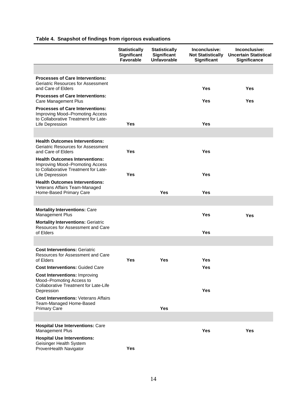### **Table 4. Snapshot of findings from rigorous evaluations**

|                                                                                                                                       | <b>Statistically</b><br>Significant<br><b>Favorable</b> | <b>Statistically</b><br>Significant<br><b>Unfavorable</b> | Inconclusive:<br><b>Not Statistically</b><br>Significant | Inconclusive:<br><b>Uncertain Statistical</b><br><b>Significance</b> |
|---------------------------------------------------------------------------------------------------------------------------------------|---------------------------------------------------------|-----------------------------------------------------------|----------------------------------------------------------|----------------------------------------------------------------------|
|                                                                                                                                       |                                                         |                                                           |                                                          |                                                                      |
| <b>Processes of Care Interventions:</b><br>Geriatric Resources for Assessment<br>and Care of Elders                                   |                                                         |                                                           | Yes                                                      | Yes                                                                  |
| <b>Processes of Care Interventions:</b><br>Care Management Plus                                                                       |                                                         |                                                           | Yes                                                      | Yes                                                                  |
| <b>Processes of Care Interventions:</b><br>Improving Mood-Promoting Access<br>to Collaborative Treatment for Late-<br>Life Depression | Yes                                                     |                                                           | Yes                                                      |                                                                      |
|                                                                                                                                       |                                                         |                                                           |                                                          |                                                                      |
| <b>Health Outcomes Interventions:</b><br>Geriatric Resources for Assessment<br>and Care of Elders                                     | Yes                                                     |                                                           | Yes                                                      |                                                                      |
| <b>Health Outcomes Interventions:</b><br>Improving Mood-Promoting Access<br>to Collaborative Treatment for Late-<br>Life Depression   | Yes                                                     |                                                           | <b>Yes</b>                                               |                                                                      |
| <b>Health Outcomes Interventions:</b><br>Veterans Affairs Team-Managed<br>Home-Based Primary Care                                     |                                                         | <b>Yes</b>                                                | Yes                                                      |                                                                      |
|                                                                                                                                       |                                                         |                                                           |                                                          |                                                                      |
| <b>Mortality Interventions: Care</b><br><b>Management Plus</b>                                                                        |                                                         |                                                           | Yes                                                      | <b>Yes</b>                                                           |
| <b>Mortality Interventions: Geriatric</b><br>Resources for Assessment and Care<br>of Elders                                           |                                                         |                                                           | <b>Yes</b>                                               |                                                                      |
|                                                                                                                                       |                                                         |                                                           |                                                          |                                                                      |
| <b>Cost Interventions: Geriatric</b><br>Resources for Assessment and Care<br>of Elders                                                | Yes                                                     | Yes                                                       | Yes                                                      |                                                                      |
| <b>Cost Interventions: Guided Care</b>                                                                                                |                                                         |                                                           | Yes                                                      |                                                                      |
| <b>Cost Interventions: Improving</b><br>Mood-Promoting Access to<br>Collaborative Treatment for Late-Life<br>Depression               |                                                         |                                                           | <b>Yes</b>                                               |                                                                      |
| <b>Cost Interventions: Veterans Affairs</b><br>Team-Managed Home-Based<br><b>Primary Care</b>                                         |                                                         | <b>Yes</b>                                                |                                                          |                                                                      |
|                                                                                                                                       |                                                         |                                                           |                                                          |                                                                      |
| <b>Hospital Use Interventions: Care</b><br><b>Management Plus</b>                                                                     |                                                         |                                                           | <b>Yes</b>                                               | Yes                                                                  |
| <b>Hospital Use Interventions:</b><br>Geisinger Health System<br>ProvenHealth Navigator                                               | Yes                                                     |                                                           |                                                          |                                                                      |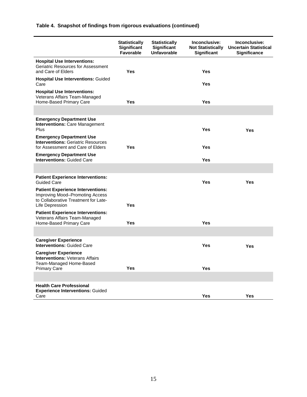### **Table 4. Snapshot of findings from rigorous evaluations (continued)**

|                                                                                                                                        | <b>Statistically</b><br>Significant<br>Favorable | <b>Statistically</b><br>Significant<br><b>Unfavorable</b> | Inconclusive:<br><b>Not Statistically</b><br>Significant | Inconclusive:<br><b>Uncertain Statistical</b><br><b>Significance</b> |
|----------------------------------------------------------------------------------------------------------------------------------------|--------------------------------------------------|-----------------------------------------------------------|----------------------------------------------------------|----------------------------------------------------------------------|
| <b>Hospital Use Interventions:</b><br><b>Geriatric Resources for Assessment</b><br>and Care of Elders                                  | <b>Yes</b>                                       |                                                           | <b>Yes</b>                                               |                                                                      |
| <b>Hospital Use Interventions: Guided</b><br>Care                                                                                      |                                                  |                                                           | Yes                                                      |                                                                      |
| <b>Hospital Use Interventions:</b><br>Veterans Affairs Team-Managed<br>Home-Based Primary Care                                         | <b>Yes</b>                                       |                                                           | <b>Yes</b>                                               |                                                                      |
|                                                                                                                                        |                                                  |                                                           |                                                          |                                                                      |
| <b>Emergency Department Use</b><br><b>Interventions: Care Management</b><br>Plus                                                       |                                                  |                                                           | <b>Yes</b>                                               | <b>Yes</b>                                                           |
| <b>Emergency Department Use</b><br><b>Interventions: Geriatric Resources</b><br>for Assessment and Care of Elders                      | Yes                                              |                                                           | Yes                                                      |                                                                      |
| <b>Emergency Department Use</b><br><b>Interventions: Guided Care</b>                                                                   |                                                  |                                                           | Yes                                                      |                                                                      |
|                                                                                                                                        |                                                  |                                                           |                                                          |                                                                      |
| <b>Patient Experience Interventions:</b><br><b>Guided Care</b>                                                                         |                                                  |                                                           | Yes                                                      | <b>Yes</b>                                                           |
| <b>Patient Experience Interventions:</b><br>Improving Mood-Promoting Access<br>to Collaborative Treatment for Late-<br>Life Depression | <b>Yes</b>                                       |                                                           |                                                          |                                                                      |
| <b>Patient Experience Interventions:</b><br>Veterans Affairs Team-Managed<br>Home-Based Primary Care                                   | <b>Yes</b>                                       |                                                           | <b>Yes</b>                                               |                                                                      |
|                                                                                                                                        |                                                  |                                                           |                                                          |                                                                      |
| <b>Caregiver Experience</b><br><b>Interventions: Guided Care</b>                                                                       |                                                  |                                                           | <b>Yes</b>                                               | <b>Yes</b>                                                           |
| <b>Caregiver Experience</b><br><b>Interventions: Veterans Affairs</b><br>Team-Managed Home-Based                                       |                                                  |                                                           |                                                          |                                                                      |
| <b>Primary Care</b>                                                                                                                    | Yes                                              |                                                           | Yes                                                      |                                                                      |
|                                                                                                                                        |                                                  |                                                           |                                                          |                                                                      |
| <b>Health Care Professional</b><br><b>Experience Interventions: Guided</b><br>Care                                                     |                                                  |                                                           | Yes                                                      | <b>Yes</b>                                                           |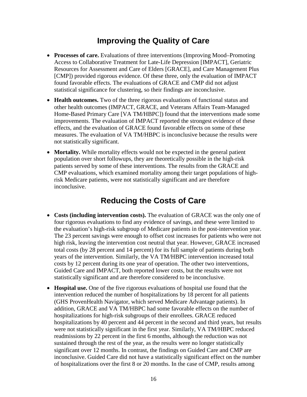## **Improving the Quality of Care**

- **Processes of care.** Evaluations of three interventions (Improving Mood–Promoting Access to Collaborative Treatment for Late-Life Depression [IMPACT], Geriatric Resources for Assessment and Care of Elders [GRACE], and Care Management Plus [CMP]) provided rigorous evidence. Of these three, only the evaluation of IMPACT found favorable effects. The evaluations of GRACE and CMP did not adjust statistical significance for clustering, so their findings are inconclusive.
- **Health outcomes.** Two of the three rigorous evaluations of functional status and other health outcomes (IMPACT, GRACE, and Veterans Affairs Team-Managed Home-Based Primary Care [VA TM/HBPC]) found that the interventions made some improvements. The evaluation of IMPACT reported the strongest evidence of these effects, and the evaluation of GRACE found favorable effects on some of these measures. The evaluation of VA TM/HBPC is inconclusive because the results were not statistically significant.
- **Mortality.** While mortality effects would not be expected in the general patient population over short followups, they are theoretically possible in the high-risk patients served by some of these interventions. The results from the GRACE and CMP evaluations, which examined mortality among their target populations of highrisk Medicare patients, were not statistically significant and are therefore inconclusive.

## **Reducing the Costs of Care**

- **Costs (including intervention costs).** The evaluation of GRACE was the only one of four rigorous evaluations to find any evidence of savings, and these were limited to the evaluation's high-risk subgroup of Medicare patients in the post-intervention year. The 23 percent savings were enough to offset cost increases for patients who were not high risk, leaving the intervention cost neutral that year. However, GRACE increased total costs (by 28 percent and 14 percent) for its full sample of patients during both years of the intervention. Similarly, the VA TM/HBPC intervention increased total costs by 12 percent during its one year of operation. The other two interventions, Guided Care and IMPACT, both reported lower costs, but the results were not statistically significant and are therefore considered to be inconclusive.
- **Hospital use.** One of the five rigorous evaluations of hospital use found that the intervention reduced the number of hospitalizations by 18 percent for all patients (GHS ProvenHealth Navigator, which served Medicare Advantage patients). In addition, GRACE and VA TM/HBPC had some favorable effects on the number of hospitalizations for high-risk subgroups of their enrollees. GRACE reduced hospitalizations by 40 percent and 44 percent in the second and third years, but results were not statistically significant in the first year. Similarly, VA TM/HBPC reduced readmissions by 22 percent in the first 6 months, although the reduction was not sustained through the rest of the year, as the results were no longer statistically significant over 12 months. In contrast, the findings on Guided Care and CMP are inconclusive. Guided Care did not have a statistically significant effect on the number of hospitalizations over the first 8 or 20 months. In the case of CMP, results among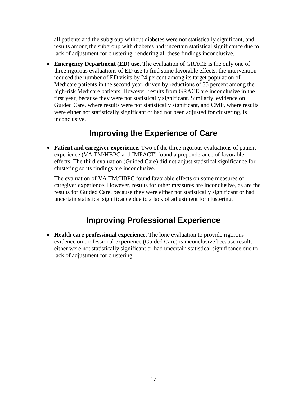all patients and the subgroup without diabetes were not statistically significant, and results among the subgroup with diabetes had uncertain statistical significance due to lack of adjustment for clustering, rendering all these findings inconclusive.

• **Emergency Department (ED) use.** The evaluation of GRACE is the only one of three rigorous evaluations of ED use to find some favorable effects; the intervention reduced the number of ED visits by 24 percent among its target population of Medicare patients in the second year, driven by reductions of 35 percent among the high-risk Medicare patients. However, results from GRACE are inconclusive in the first year, because they were not statistically significant. Similarly, evidence on Guided Care, where results were not statistically significant, and CMP, where results were either not statistically significant or had not been adjusted for clustering, is inconclusive.

## **Improving the Experience of Care**

• **Patient and caregiver experience.** Two of the three rigorous evaluations of patient experience (VA TM/HBPC and IMPACT) found a preponderance of favorable effects. The third evaluation (Guided Care) did not adjust statistical significance for clustering so its findings are inconclusive.

The evaluation of VA TM/HBPC found favorable effects on some measures of caregiver experience. However, results for other measures are inconclusive, as are the results for Guided Care, because they were either not statistically significant or had uncertain statistical significance due to a lack of adjustment for clustering.

## **Improving Professional Experience**

• **Health care professional experience.** The lone evaluation to provide rigorous evidence on professional experience (Guided Care) is inconclusive because results either were not statistically significant or had uncertain statistical significance due to lack of adjustment for clustering.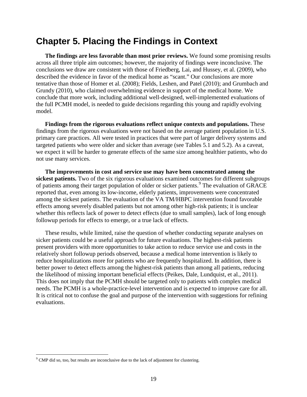## **Chapter 5. Placing the Findings in Context**

**The findings are less favorable than most prior reviews.** We found some promising results across all three triple aim outcomes; however, the majority of findings were inconclusive. The conclusions we draw are consistent with those of Friedberg, Lai, and Hussey, et al. (2009), who described the evidence in favor of the medical home as "scant." Our conclusions are more tentative than those of Homer et al. (2008); Fields, Leshen, and Patel (2010); and Grumbach and Grundy (2010), who claimed overwhelming evidence in support of the medical home. We conclude that more work, including additional well-designed, well-implemented evaluations of the full PCMH model, is needed to guide decisions regarding this young and rapidly evolving model.

**Findings from the rigorous evaluations reflect unique contexts and populations.** These findings from the rigorous evaluations were not based on the average patient population in U.S. primary care practices. All were tested in practices that were part of larger delivery systems and targeted patients who were older and sicker than average (see Tables 5.1 and 5.2). As a caveat, we expect it will be harder to generate effects of the same size among healthier patients, who do not use many services.

**The improvements in cost and service use may have been concentrated among the sickest patients.** Two of the six rigorous evaluations examined outcomes for different subgroups of patients among their target population of older or sicker patients.<sup>[9](#page-27-0)</sup> The evaluation of GRACE reported that, even among its low-income, elderly patients, improvements were concentrated among the sickest patients. The evaluation of the VA TM/HBPC intervention found favorable effects among severely disabled patients but not among other high-risk patients; it is unclear whether this reflects lack of power to detect effects (due to small samples), lack of long enough followup periods for effects to emerge, or a true lack of effects.

These results, while limited, raise the question of whether conducting separate analyses on sicker patients could be a useful approach for future evaluations. The highest-risk patients present providers with more opportunities to take action to reduce service use and costs in the relatively short followup periods observed, because a medical home intervention is likely to reduce hospitalizations more for patients who are frequently hospitalized. In addition, there is better power to detect effects among the highest-risk patients than among all patients, reducing the likelihood of missing important beneficial effects (Peikes, Dale, Lundquist, et al., 2011). This does not imply that the PCMH should be targeted only to patients with complex medical needs. The PCMH is a whole-practice-level intervention and is expected to improve care for all. It is critical not to confuse the goal and purpose of the intervention with suggestions for refining evaluations.

<span id="page-27-0"></span> $9^9$  CMP did so, too, but results are inconclusive due to the lack of adjustment for clustering.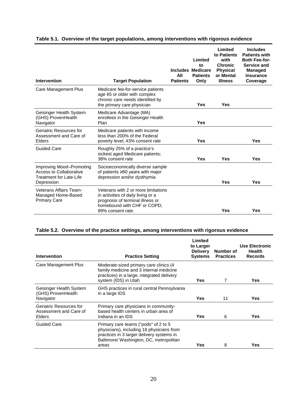| Intervention                                                                                 | <b>Target Population</b>                                                                                                                                          | All<br><b>Patients</b> | Limited<br>to<br><b>Includes Medicare</b><br><b>Patients</b><br>Only | Limited<br>to Patients<br>with<br><b>Chronic</b><br><b>Physical</b><br>or Mental<br><b>Illness</b> | <b>Includes</b><br><b>Patients with</b><br><b>Both Fee-for-</b><br>Service and<br><b>Managed</b><br><b>Insurance</b><br>Coverage |
|----------------------------------------------------------------------------------------------|-------------------------------------------------------------------------------------------------------------------------------------------------------------------|------------------------|----------------------------------------------------------------------|----------------------------------------------------------------------------------------------------|----------------------------------------------------------------------------------------------------------------------------------|
| Care Management Plus                                                                         | Medicare fee-for-service patients<br>age 65 or older with complex<br>chronic care needs identified by<br>the primary care physician                               |                        | <b>Yes</b>                                                           | Yes                                                                                                |                                                                                                                                  |
| Geisinger Health System<br>(GHS) ProvenHealth<br>Navigator                                   | Medicare Advantage (MA)<br>enrollees in the Geisinger Health<br>Plan                                                                                              |                        | <b>Yes</b>                                                           |                                                                                                    |                                                                                                                                  |
| Geriatric Resources for<br>Assessment and Care of<br>Elders                                  | Medicare patients with income<br>less than 200% of the Federal<br>poverty level; 43% consent rate                                                                 |                        | <b>Yes</b>                                                           |                                                                                                    | <b>Yes</b>                                                                                                                       |
| <b>Guided Care</b>                                                                           | Roughly 25% of a practice's<br>sickest aged Medicare patients;<br>38% consent rate                                                                                |                        | <b>Yes</b>                                                           | Yes                                                                                                | Yes                                                                                                                              |
| Improving Mood-Promoting<br>Access to Collaborative<br>Treatment for Late-Life<br>Depression | Socioeconomically diverse sample<br>of patients $\geq 60$ years with major<br>depression and/or dysthymia                                                         |                        |                                                                      | Yes                                                                                                | <b>Yes</b>                                                                                                                       |
| Veterans Affairs Team-<br>Managed Home-Based<br><b>Primary Care</b>                          | Veterans with 2 or more limitations<br>in activities of daily living or a<br>prognosis of terminal illness or<br>homebound with CHF or COPD;<br>89% consent rate. |                        |                                                                      | Yes                                                                                                | Yes                                                                                                                              |

### **Table 5.1. Overview of the target populations, among interventions with rigorous evidence**

### **Table 5.2. Overview of the practice settings, among interventions with rigorous evidence**

| <b>Intervention</b>                                                | <b>Practice Setting</b>                                                                                                                                                            | Limited<br>to Larger<br><b>Delivery</b><br><b>Systems</b> | Number of<br><b>Practices</b> | <b>Use Electronic</b><br><b>Health</b><br><b>Records</b> |
|--------------------------------------------------------------------|------------------------------------------------------------------------------------------------------------------------------------------------------------------------------------|-----------------------------------------------------------|-------------------------------|----------------------------------------------------------|
| Care Management Plus                                               | Moderate-sized primary care clinics (4<br>family medicine and 3 internal medicine<br>practices) in a large, integrated delivery<br>system (IDS) in Utah                            | Yes                                                       | 7                             | <b>Yes</b>                                               |
| Geisinger Health System<br>(GHS) ProvenHealth<br>Navigator         | GHS practices in rural central Pennsylvania<br>in a large IDS                                                                                                                      | <b>Yes</b>                                                | 11                            | <b>Yes</b>                                               |
| Geriatric Resources for<br>Assessment and Care of<br><b>Elders</b> | Primary care physicians in community-<br>based health centers in urban area of<br>Indiana in an IDS                                                                                | Yes                                                       | 6                             | Yes                                                      |
| <b>Guided Care</b>                                                 | Primary care teams ("pods" of 2 to 5<br>physicians), including 18 physicians from<br>practices in 3 larger delivery systems in<br>Baltimore/ Washington, DC, metropolitan<br>areas | Yes                                                       | 8                             | Yes                                                      |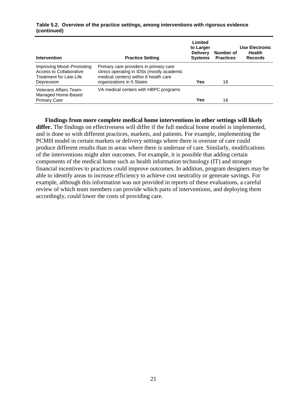| <b>Intervention</b>                                                                          | <b>Practice Setting</b>                                                                                                                                    | Limited<br>to Larger<br><b>Delivery</b><br><b>Systems</b> | Number of<br><b>Practices</b> | <b>Use Electronic</b><br>Health<br><b>Records</b> |
|----------------------------------------------------------------------------------------------|------------------------------------------------------------------------------------------------------------------------------------------------------------|-----------------------------------------------------------|-------------------------------|---------------------------------------------------|
| Improving Mood-Promoting<br>Access to Collaborative<br>Treatment for Late-Life<br>Depression | Primary care providers in primary care<br>clinics operating in IDSs (mostly academic<br>medical centers) within 8 health care<br>organizations in 5 States | <b>Yes</b>                                                | 18                            |                                                   |
| Veterans Affairs Team-<br>Managed Home-Based<br><b>Primary Care</b>                          | VA medical centers with HBPC programs                                                                                                                      | <b>Yes</b>                                                | 16                            |                                                   |

#### **Table 5.2. Overview of the practice settings, among interventions with rigorous evidence (continued)**

**Findings from more complete medical home interventions in other settings will likely differ.** The findings on effectiveness will differ if the full medical home model is implemented, and is done so with different practices, markets, and patients. For example, implementing the PCMH model in certain markets or delivery settings where there is overuse of care could produce different results than in areas where there is underuse of care. Similarly, modifications of the interventions might alter outcomes. For example, it is possible that adding certain components of the medical home such as health information technology (IT) and stronger financial incentives to practices could improve outcomes. In addition, program designers may be able to identify areas to increase efficiency to achieve cost neutrality or generate savings. For example, although this information was not provided in reports of these evaluations, a careful review of which team members can provide which parts of interventions, and deploying them accordingly, could lower the costs of providing care.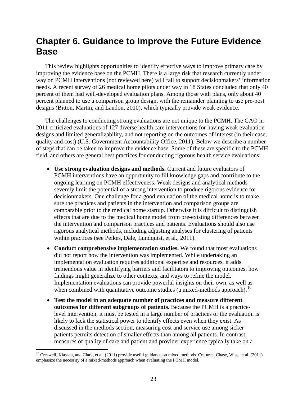## **Chapter 6. Guidance to Improve the Future Evidence Base**

This review highlights opportunities to identify effective ways to improve primary care by improving the evidence base on the PCMH. There is a large risk that research currently under way on PCMH interventions (not reviewed here) will fail to support decisionmakers' information needs. A recent survey of 26 medical home pilots under way in 18 States concluded that only 40 percent of them had well-developed evaluation plans. Among those with plans, only about 40 percent planned to use a comparison group design, with the remainder planning to use pre-post designs (Bitton, Martin, and Landon, 2010), which typically provide weak evidence.

The challenges to conducting strong evaluations are not unique to the PCMH. The GAO in 2011 criticized evaluations of 127 diverse health care interventions for having weak evaluation designs and limited generalizability, and not reporting on the outcomes of interest (in their case, quality and cost) (U.S. Government Accountability Office, 2011). Below we describe a number of steps that can be taken to improve the evidence base. Some of these are specific to the PCMH field, and others are general best practices for conducting rigorous health service evaluations:

- **Use strong evaluation designs and methods.** Current and future evaluators of PCMH interventions have an opportunity to fill knowledge gaps and contribute to the ongoing learning on PCMH effectiveness. Weak designs and analytical methods severely limit the potential of a strong intervention to produce rigorous evidence for decisionmakers. One challenge for a good evaluation of the medical home is to make sure the practices and patients in the intervention and comparison groups are comparable prior to the medical home startup. Otherwise it is difficult to distinguish effects that are due to the medical home model from pre-existing differences between the intervention and comparison practices and patients. Evaluations should also use rigorous analytical methods, including adjusting analyses for clustering of patients within practices (see Peikes, Dale, Lundquist, et al., 2011).
- **Conduct comprehensive implementation studies.** We found that most evaluations did not report how the intervention was implemented. While undertaking an implementation evaluation requires additional expertise and resources, it adds tremendous value in identifying barriers and facilitators to improving outcomes, how findings might generalize to other contexts, and ways to refine the model. Implementation evaluations can provide powerful insights on their own, as well as when combined with quantitative outcome studies (a mixed-methods approach).<sup>[10](#page-31-0)</sup>
- **Test the model in an adequate number of practices and measure different outcomes for different subgroups of patients.** Because the PCMH is a practicelevel intervention, it must be tested in a large number of practices or the evaluation is likely to lack the statistical power to identify effects even when they exist. As discussed in the methods section, measuring cost and service use among sicker patients permits detection of smaller effects than among all patients. In contrast, measures of quality of care and patient and provider experience typically take on a

<span id="page-31-0"></span> $10$  Creswell, Klassen, and Clark, et al. (2011) provide useful guidance on mixed methods. Crabtree, Chase, Wise, et al. (2011) emphasize the necessity of a mixed-methods approach when evaluating the PCMH model.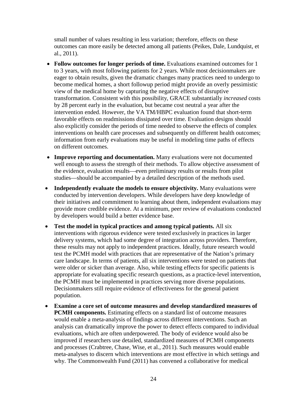small number of values resulting in less variation; therefore, effects on these outcomes can more easily be detected among all patients (Peikes, Dale, Lundquist, et al., 2011).

- **Follow outcomes for longer periods of time.** Evaluations examined outcomes for 1 to 3 years, with most following patients for 2 years. While most decisionmakers are eager to obtain results, given the dramatic changes many practices need to undergo to become medical homes, a short followup period might provide an overly pessimistic view of the medical home by capturing the negative effects of disruptive transformation. Consistent with this possibility, GRACE substantially *increased* costs by 28 percent early in the evaluation, but became cost neutral a year after the intervention ended. However, the VA TM/HBPC evaluation found that short-term favorable effects on readmissions dissipated over time. Evaluation designs should also explicitly consider the periods of time needed to observe the effects of complex interventions on health care processes and subsequently on different health outcomes; information from early evaluations may be useful in modeling time paths of effects on different outcomes.
- **Improve reporting and documentation.** Many evaluations were not documented well enough to assess the strength of their methods. To allow objective assessment of the evidence, evaluation results—even preliminary results or results from pilot studies—should be accompanied by a detailed description of the methods used.
- **Independently evaluate the models to ensure objectivity.** Many evaluations were conducted by intervention developers. While developers have deep knowledge of their initiatives and commitment to learning about them, independent evaluations may provide more credible evidence. At a minimum, peer review of evaluations conducted by developers would build a better evidence base.
- **Test the model in typical practices and among typical patients.** All six interventions with rigorous evidence were tested exclusively in practices in larger delivery systems, which had some degree of integration across providers. Therefore, these results may not apply to independent practices. Ideally, future research would test the PCMH model with practices that are representative of the Nation's primary care landscape. In terms of patients, all six interventions were tested on patients that were older or sicker than average. Also, while testing effects for specific patients is appropriate for evaluating specific research questions, as a practice-level intervention, the PCMH must be implemented in practices serving more diverse populations. Decisionmakers still require evidence of effectiveness for the general patient population.
- **Examine a core set of outcome measures and develop standardized measures of PCMH components.** Estimating effects on a standard list of outcome measures would enable a meta-analysis of findings across different interventions. Such an analysis can dramatically improve the power to detect effects compared to individual evaluations, which are often underpowered. The body of evidence would also be improved if researchers use detailed, standardized measures of PCMH components and processes (Crabtree, Chase, Wise, et al., 2011). Such measures would enable meta-analyses to discern which interventions are most effective in which settings and why. The Commonwealth Fund (2011) has convened a collaborative for medical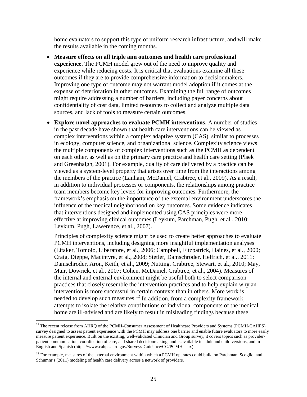home evaluators to support this type of uniform research infrastructure, and will make the results available in the coming months.

- **Measure effects on all triple aim outcomes and health care professional experience.** The PCMH model grew out of the need to improve quality and experience while reducing costs. It is critical that evaluations examine all these outcomes if they are to provide comprehensive information to decisionmakers. Improving one type of outcome may not warrant model adoption if it comes at the expense of deterioration in other outcomes. Examining the full range of outcomes might require addressing a number of barriers, including payer concerns about confidentiality of cost data, limited resources to collect and analyze multiple data sources, and lack of tools to measure certain outcomes.<sup>[11](#page-33-0)</sup>
- **Explore novel approaches to evaluate PCMH interventions.** A number of studies in the past decade have shown that health care interventions can be viewed as complex interventions within a complex adaptive system (CAS), similar to processes in ecology, computer science, and organizational science. Complexity science views the multiple components of complex interventions such as the PCMH as dependent on each other, as well as on the primary care practice and health care setting (Plsek and Greenhalgh, 2001). For example, quality of care delivered by a practice can be viewed as a system-level property that arises over time from the interactions among the members of the practice (Lanham, McDaniel, Crabtree, et al., 2009). As a result, in addition to individual processes or components, the relationships among practice team members become key levers for improving outcomes. Furthermore, the framework's emphasis on the importance of the external environment underscores the influence of the medical neighborhood on key outcomes. Some evidence indicates that interventions designed and implemented using CAS principles were more effective at improving clinical outcomes (Leykum, Parchman, Pugh, et al., 2010; Leykum, Pugh, Lawerence, et al., 2007).

Principles of complexity science might be used to create better approaches to evaluate PCMH interventions, including designing more insightful implementation analyses (Litaker, Tomolo, Liberatore, et al., 2006; Campbell, Fitzpatrick, Haines, et al., 2000; Craig, Dieppe, Macintyre, et al., 2008; Stetler, Damschroder, Helfrich, et al., 2011; Damschroder, Aron, Keith, et al., 2009; Nutting, Crabtree, Stewart, et al., 2010; May, Mair, Dowrick, et al., 2007; Cohen, McDaniel, Crabtree, et al., 2004). Measures of the internal and external environment might be useful both to select comparison practices that closely resemble the intervention practices and to help explain why an intervention is more successful in certain contexts than in others. More work is needed to develop such measures.<sup>[12](#page-33-1)</sup> In addition, from a complexity framework, attempts to isolate the relative contributions of individual components of the medical home are ill-advised and are likely to result in misleading findings because these

<span id="page-33-0"></span><sup>&</sup>lt;sup>11</sup> The recent release from AHRQ of the PCMH-Consumer Assessment of Healthcare Providers and Systems (PCMH-CAHPS) survey designed to assess patient experience with the PCMH may address one barrier and enable future evaluators to more easily measure patient experience. Built on the existing, well-validated Clinician and Group survey, it covers topics such as providerpatient communication, coordination of care, and shared decisionmaking, and is available in adult and child versions, and in English and Spanish ( [https://www.cahps.ahrq.gov/Surveys-Guidance/CG/PCMH.aspx\)](https://www.cahps.ahrq.gov/Surveys-Guidance/CG/PCMH.aspx).

<span id="page-33-1"></span> $12$  For example, measures of the external environment within which a PCMH operates could build on Parchman, Scoglio, and Schumm's (2011) modeling of health care delivery across a network of providers.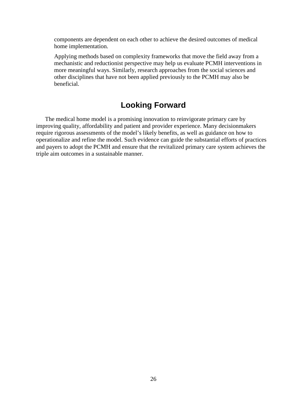components are dependent on each other to achieve the desired outcomes of medical home implementation.

Applying methods based on complexity frameworks that move the field away from a mechanistic and reductionist perspective may help us evaluate PCMH interventions in more meaningful ways. Similarly, research approaches from the social sciences and other disciplines that have not been applied previously to the PCMH may also be beneficial.

### **Looking Forward**

The medical home model is a promising innovation to reinvigorate primary care by improving quality, affordability and patient and provider experience. Many decisionmakers require rigorous assessments of the model's likely benefits, as well as guidance on how to operationalize and refine the model. Such evidence can guide the substantial efforts of practices and payers to adopt the PCMH and ensure that the revitalized primary care system achieves the triple aim outcomes in a sustainable manner.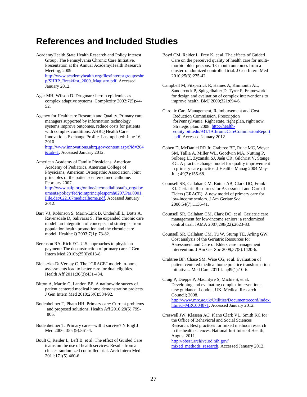## **References and Included Studies**

- AcademyHealth State Health Research and Policy Interest Group. The Pennsylvania Chronic Care Initiative. Presentation at the Annual AcademyHealth Research Meeting, 2009. [http://www.academyhealth.org/files/interestgroups/shr](http://www.academyhealth.org/files/interestgroups/shrp/SHRP_Breakfast_2009_Magistro.pdf) [p/SHRP\\_Breakfast\\_2009\\_Magistro.pdf.](http://www.academyhealth.org/files/interestgroups/shrp/SHRP_Breakfast_2009_Magistro.pdf) Accessed January 2012.
- Agar MH, Wilson D. Drugmart: heroin epidemics as complex adaptive systems. Complexity 2002;7(5):44- 52.
- Agency for Healthcare Research and Quality. Primary care managers supported by information technology systems improve outcomes, reduce costs for patients with complex conditions. AHRQ Health Care Innovations Exchange Profile. Last updated: June 16, 2010. [http://www.innovations.ahrq.gov/content.aspx?id=264](http://www.innovations.ahrq.gov/content.aspx?id=264&tab=1)

[&tab=1.](http://www.innovations.ahrq.gov/content.aspx?id=264&tab=1) Accessed January 2012.

American Academy of Family Physicians, American Academy of Pediatrics, American College of Physicians, American Osteopathic Association. Joint principles of the patient-centered medicalhome. February 2007. [http://www.aafp.org/online/etc/medialib/aafp\\_org/doc](http://www.aafp.org/online/etc/medialib/aafp_org/documents/policy/fed/jointprinciplespcmh0207.Par.0001.File.dat/022107medicalhome.pdf) [uments/policy/fed/jointprinciplespcmh0207.Par.0001.](http://www.aafp.org/online/etc/medialib/aafp_org/documents/policy/fed/jointprinciplespcmh0207.Par.0001.File.dat/022107medicalhome.pdf) [File.dat/022107medicalhome.pdf.](http://www.aafp.org/online/etc/medialib/aafp_org/documents/policy/fed/jointprinciplespcmh0207.Par.0001.File.dat/022107medicalhome.pdf) Accessed January 2012.

- Barr VJ, Robinson S, Marin-Link B, Underhill L, Dotts A, Ravensdale D, Salivaras S. The expanded chronic care model: an integration of concepts and strategies from population health promotion and the chronic care model. Healthc Q 2003;7(1): 73-82.
- Berenson RA, Rich EC. U.S. approaches to physician payment: The deconstruction of primary care. J Gen Intern Med 2010b;25(6):613-8.

Bielaszka-DuVernay C. The "GRACE" model: in-home assessments lead to better care for dual eligibles. Health Aff 2011;30(3):431-434.

Bitton A, Martin C, Landon BE. A nationwide survey of patient centered medical home demonstration projects. J Gen Intern Med 2010;25(6):584-92.

Bodenheimer T, Pham HH. Primary care: Current problems and proposed solutions. Health Aff 2010;29(5):799- 805.

Bodenheimer T. Primary care—will it survive? N Engl J Med 2006; 355 (9):861-4.

Boult C, Reider L, Leff B, et al. The effect of Guided Care teams on the use of health services: Results from a cluster-randomized controlled trial. Arch Intern Med 2011;171(5):460-6.

Boyd CM, Reider L, Frey K, et al. The effects of Guided Care on the perceived quality of health care for multimorbid older persons: 18-month outcomes from a cluster-randomized controlled trial. J Gen Intern Med 2010;25(3):235-42.

Campbell M, Fitzpatrick R, Haines A, Kinmonth AL, Sandercock P, Spiegelhalter D, Tyrer P. Framework for design and evaluation of complex interventions to improve health. BMJ 2000;321:694-6.

Chronic Care Management, Reimbursement and Cost Reduction Commission. Prescription forPennsylvania. Right state, right plan, right now. Strategic plan. 2008. [http://health](http://health-equity.pitt.edu/931/1/ChronicCareCommissionReport.pdf)[equity.pitt.edu/931/1/ChronicCareCommissionReport](http://health-equity.pitt.edu/931/1/ChronicCareCommissionReport.pdf) [.pdf.](http://health-equity.pitt.edu/931/1/ChronicCareCommissionReport.pdf) Accessed January 2012.

- Cohen D, McDaniel RR Jr, Crabtree BF, Ruhe MC, Weyer SM, Tallia A, Miller WL, Goodwin MA, Nutting P, Solberg LI, Zyzanski SJ, Jaén CR, Gilchrist V, Stange KC. A practice change model for quality improvement in primary care practice. J Healthc Manag 2004 May-Jun; 49(3):155-68.
- Counsell SR, Callahan CM, Buttar AB, Clark DO, Frank KI. Geriatric Resources for Assessment and Care of Elders (GRACE): A new model of primary care for low-income seniors. J Am Geriatr *Soc* 2006;54(7):1136-41.
- Counsell SR, Callahan CM, Clark DO, et al. Geriatric care management for low-income seniors: a randomized control trial. JAMA 2007;298(22):2623-33.

Counsell SR, Callahan CM, Tu W, Stump TE, Arling GW. Cost analysis of the Geriatric Resources for Assessment and Care of Elders care management intervention. J Am Ger Soc 2009;57(8):1420-6.

Crabtree BF, Chase SM, Wise CG, et al. [Evaluation of](http://www.ncbi.nlm.nih.gov/pubmed/21079525)  [patient centered medical home practice transformation](http://www.ncbi.nlm.nih.gov/pubmed/21079525)  [initiatives.](http://www.ncbi.nlm.nih.gov/pubmed/21079525) Med Care 2011 Jan;49(1):10-6.

Craig P, Dieppe P, Macintyre S, Michie S, et al. Developing and evaluating complex interventions: new guidance. London, UK: Medical Research Council; 2008. [http://www.mrc.ac.uk/Utilities/Documentrecord/index.](http://www.mrc.ac.uk/Utilities/Documentrecord/index.htm?d=MRC004871) [htm?d=MRC004871.](http://www.mrc.ac.uk/Utilities/Documentrecord/index.htm?d=MRC004871) Accessed January 2012.

Creswell JW, Klassen AC, Plano Clark VL, Smith KC for the Office of Behavioral and Social Sciences Research. Best practices for mixed methods research in the health sciences. National Institutes of Health; August 2011. http://obssr.archive.od.nih.gov/

[mixed\\_methods\\_research. Acce](http://obssr.archive.od.nih.gov/mixed_methods_research)ssed January 2012.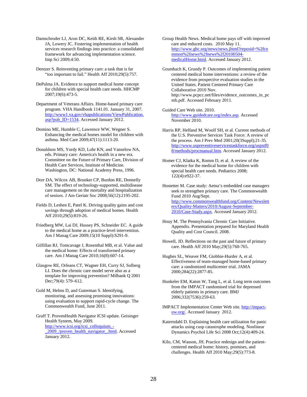Damschroder LJ, Aron DC, Keith RE, Kirsh SR, Alexander JA, Lowery JC. Fostering implementation of health services research findings into practice: a consolidated framework for advancing implementation science. Imp Sci 2009;4:50.

Dentzer S. Reinventing primary care: a task that is far "too important to fail." Health Aff 2010;29(5):757.

DePalma JA. Evidence to support medical home concept for children with special health care needs. HHCMP 2007;19(6):473-5.

Department of Veterans Affairs. Home-based primary care program. VHA Handbook 1141.01. January 31, 2007. [http://www1.va.gov/vhapublications/ViewPublication.](http://www1.va.gov/vhapublications/ViewPublication.asp?pub_ID=1534) [asp?pub\\_ID=1534.](http://www1.va.gov/vhapublications/ViewPublication.asp?pub_ID=1534) Accessed January 2012.

Domino ME, Humble C, Lawrence WW, Wegner S. Enhancing the medical homes model for children with asthma. Med Care 2009;47(11):1113-20.

Donaldson MS, Yordy KD, Lohr KN, and Vanselow NA, eds. Primary care: America's health in a new era. Committee on the Future of Primary Care, Division of Health Care Services, Institute of Medicine. Washington, DC: National Academy Press, 1996.

Dorr DA, Wilcox AB, Brunker CP, Burdon RE, Donnelly SM. The effect of technology-supported, multidisease care management on the mortality and hospitalization of seniors. J Am Geriatr Soc 2008;56(12):2195-202.

Fields D, Leshen E, Patel K. Driving quality gains and cost savings through adoption of medical homes. Health Aff 2010;29(5):819-26.

Friedberg MW, Lai DJ, Hussey PS, Schneider EC. A guide to the medical home as a practice-level intervention. Am J Manag Care 2009;15(10 Suppl):S291-9.

Gilfillan RJ, Tomcavage J, Rosenthal MB, et al. Value and the medical home: Effects of transformed primary care. Am J Manag Care 2010;16(8):607-14.

Glasgow RE, Orleans CT, Wagner EH, Curry SJ, Solberg LI. Does the chronic care model serve also as a template for improving prevention? Milbank Q 2001 Dec;79(4): 579-612.

Gold M, Helms D, and Guterman S. Identifying, monitoring, and assessing promising innovations: using evaluation to support rapid-cycle change. The Commonwealth Fund, June 2011.

Graff T. ProvenHealth Navigator ICSI update. Geisinger Health System, May 2009. [http://www.icsi.org/icsi\\_colloquium\\_-](http://www.icsi.org/icsi_colloquium_-_2009_/proven_health_navigator_.html) 2009 /proven\_health\_navigator\_.html. Accessed January 2012.

Group Health News. Medical home pays off with improved care and reduced costs. 2010 May 11. [http://www.ghc.org/news/news.jhtml?reposid=%2fco](http://www.ghc.org/news/news.jhtml?reposid=%2fcommon%2fnews%2fnews%2f20100504-medicalHome.html) [mmon%2fnews%2fnews%2f20100504](http://www.ghc.org/news/news.jhtml?reposid=%2fcommon%2fnews%2fnews%2f20100504-medicalHome.html) [medicalHome.html.](http://www.ghc.org/news/news.jhtml?reposid=%2fcommon%2fnews%2fnews%2f20100504-medicalHome.html) Accessed January 2012.

Grumbach K, Grundy P. Outcomes of implementing patient centered medical home interventions: a review of the evidence from prospective evaluation studies in the United States. Patient Centered Primary Care Collaborative 2010 Nov. http://www.pcpcc.net/files/evidence\_outcomes\_in\_pc mh.pdf. Accessed February 2011.

Guided Care Web site. 2010. [http://www.guidedcare.org/index.asp.](http://www.guidedcare.org/index.asp) Accessed November 2010.

Harris RP, Helfand M, Woolf SH, et al. Current methods of the U.S. Preventive Services Task Force: A review of the process. Am J Prev Med 2001;20(3Suppl);21-35. [http://www.uspreventiveservicestaskforce.org/uspstf0](http://www.uspreventiveservicestaskforce.org/uspstf08/methods/procmanual.htm) [8/methods/procmanual.htm.](http://www.uspreventiveservicestaskforce.org/uspstf08/methods/procmanual.htm) Accessed January 2012.

Homer CJ, Klatka K, Romm D, et al. A review of the evidence for the medical home for children with special health care needs. Pediatrics 2008; 122(4):e922-37.

Hostetter M. Case study: Aetna's embedded case managers seek to strengthen primary care. The Commonwealth Fund 2010 Aug/Sept. [http://www.commonwealthfund.org/Content/Newslett](http://www.commonwealthfund.org/Content/Newsletters/Quality-Matters/2010/August-September-2010/Case-Study.aspx) [ers/Quality-Matters/2010/August-September-](http://www.commonwealthfund.org/Content/Newsletters/Quality-Matters/2010/August-September-2010/Case-Study.aspx)[2010/Case-Study.aspx.](http://www.commonwealthfund.org/Content/Newsletters/Quality-Matters/2010/August-September-2010/Case-Study.aspx) Accessed January 2012.

- Houy M. The Pennsylvania Chronic Care Initiative. Appendix. Presentation prepared for Maryland Health Quality and Cost Council. 2008.
- Howell, JD. Reflections on the past and future of primary care. Health Aff 2010 May;29(5):760-765.

Hughes SL, Weaver FM, Giobbie-Hurder A, et al. Effectiveness of team-managed home-based primary care: a randomized multicenter trial. JAMA 2000;284(22):2877-85.

- Hunkeler EM, Katon W, Tang L, et al. Long term outcomes from the IMPACT randomised trial for depressed elderly patients in primary care. BMJ 2006;332(7536):259-63.
- IMPACT Implementation Center Web site. [http://impact](http://impact-uw.org/)[uw.org/.](http://impact-uw.org/) Accessed January 2012.

Katerndahl D. Explaining health care utilization for panic attacks using cusp catastrophe modeling. Nonlinear Dynamics Psychol Life Sci 2008 Oct;12(4):409-24.

Kilo, CM, Wasson, JH. Practice redesign and the patientcentered medical home: history, promises, and challenges. Health Aff 2010 May;29(5):773-8.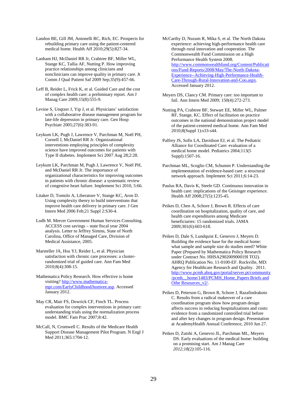Landon BE, Gill JM, Antonelli RC, Rich, EC. Prospects for rebuilding primary care using the patient-centered medical home. Health Aff 2010;29(5):827-34.

Lanham HJ, McDaniel RR Jr, Crabtree BF, Miller WL, Stange KC, Tallia AF, Nutting P. How improving practice relationships among clinicians and nonclinicians can improve quality in primary care. Jt Comm J Qual Patient Saf 2009 Sep;35(9):457-66.

Leff B, Reider L, Frick K, et al. Guided Care and the cost of complex health care: a preliminary report. Am J Manag Care 2009;15(8):555-9.

Levine S, Unqtzer J, Yip J, et al. Physicians' satisfaction with a collaborative disease management program for late-life depression in primary care. Gen Hosp Psychiatr 2005;27(6):383-91.

Leykum LK, Pugh J, Lawrence V, Parchman M, Noël PH, Cornell J, McDaniel RR Jr. Organizational interventions employing principles of complexity science have improved outcomes for patients with Type II diabetes. Implement Sci 2007 Aug 28;2:28.

Leykum LK, Parchman M, Pugh J, Lawrence V, Noël PH, and McDaniel RR Jr. The importance of organizational characteristics for improving outcomes in patients with chronic disease: a systematic review of congestive heart failure. Implement Sci 2010, 5:66.

Litaker D, Tomolo A, Liberatore V, Stange KC, Aron D. Using complexity theory to build interventions that improve health care delivery in primary care. J Gen Intern Med 2006 Feb;21 Suppl 2:S30-4.

Lodh M. Mercer Government Human Services Consulting. ACCESS cost savings – state fiscal year 2004 analysis. Letter to Jeffrey Simms, State of North Carolina, Office of Managed Care, Division of Medical Assistance, 2005.

Marsteller JA, Hsu YJ, Reider L, et al. Physician satisfaction with chronic care processes: a clusterrandomized trial of guided care. Ann Fam Med 2010;8(4):308-15.

Mathematica Policy Research. How effective is home visiting? [http://www.mathematica](http://www.mathematica-mpr.com/EarlyChildhood/homvee.asp)[mpr.com/EarlyChildhood/homvee.asp.](http://www.mathematica-mpr.com/EarlyChildhood/homvee.asp) Accessed January 2012.

May CR, Mair FS, Dowrick CF, Finch TL. Process evaluation for complex interventions in primary care: understanding trials using the normalization process model. BMC Fam Prac 2007;8:42.

McCall, N, Cromwell C. Results of the Medicare Health Support Disease Management Pilot Program. N Engl J Med 2011;365:1704-12.

McCarthy D, Nuzum R, Mika S, et al. The North Dakota experience: achieving high-performance health care through rural innovation and cooperation. The Commonwealth Fund Commission on a High Performance Health System 2008. [http://www.commonwealthfund.org/Content/Publicati](http://www.commonwealthfund.org/Content/Publications/Fund-Reports/2008/May/The-North-Dakota-Experience--Achieving-High-Performance-Health-Care-Through-Rural-Innovation-and-Coo.aspx) [ons/Fund-Reports/2008/May/The-North-Dakota-](http://www.commonwealthfund.org/Content/Publications/Fund-Reports/2008/May/The-North-Dakota-Experience--Achieving-High-Performance-Health-Care-Through-Rural-Innovation-and-Coo.aspx)[Experience--Achieving-High-Performance-Health-](http://www.commonwealthfund.org/Content/Publications/Fund-Reports/2008/May/The-North-Dakota-Experience--Achieving-High-Performance-Health-Care-Through-Rural-Innovation-and-Coo.aspx)[Care-Through-Rural-Innovation-and-Coo.aspx.](http://www.commonwealthfund.org/Content/Publications/Fund-Reports/2008/May/The-North-Dakota-Experience--Achieving-High-Performance-Health-Care-Through-Rural-Innovation-and-Coo.aspx)  Accessed January 2012.

Meyers DS, Clancy CM. Primary care: too important to fail. Ann Intern Med 2009; 150(4):272-273.

Nutting PA, Crabtree BF, Stewart EE, Miller WL, Palmer RF, Stange, KC. Effect of facilitation on practice outcomes in the national demonstration project model of the patient-centered medical home. Ann Fam Med 2010;8(Suppl 1):s33-s44.

Palfrey JS, Sofis LA, Davidson EJ, et al. The Pediatric Alliance for Coordinated Care: evaluation of a medical home model. Pediatrics 2004;113(5 Suppl):1507-16.

Parchman ML, Scoglio CM, Schumm P. Understanding the implementation of evidence-based care: a structural network approach. Implement Sci 2011;6:14-23.

Paulus RA, Davis K, Steele GD. Continuous innovation in health care: implications of the Geisinger experience. Health Aff 2008;27(5):1235-45.

Peikes D, Chen A, Schore J, Brown R. Effects of care coordination on hospitalization, quality of care, and health care expenditures among Medicare beneficiaries: 15 randomized trials. JAMA 2009;301(6):603-618.

Peikes D, Dale S, Lundquist E, Genevro J, Meyers D. Building the evidence base for the medical home: what sample and sample size do studies need? White Paper (Prepared by Mathematica Policy Research under Contract No. HHSA290200900019I TO2). AHRQ Publication No. 11-0100-EF. Rockville, MD: Agency for Healthcare Research and Quality. 2011. [http://www.pcmh.ahrq.gov/portal/server.pt/community](http://www.pcmh.ahrq.gov/portal/server.pt/community/pcmh__home/1483/PCMH_Home_Papers%20Briefs%20and%20Othe%20Resources_v2/) [/pcmh\\_\\_home/1483/PCMH\\_Home\\_Papers Briefs and](http://www.pcmh.ahrq.gov/portal/server.pt/community/pcmh__home/1483/PCMH_Home_Papers%20Briefs%20and%20Othe%20Resources_v2/)  Othe Resources\_v2/.

Peikes D, Peterson G, Brown R, Schore J, Razafindrakoto C. Results from a radical makeover of a care coordination program show how program design affects success in reducing hospitalizations and costs: evidence from a randomized controlled trial before and after key changes in program design. Presentation at AcademyHealth Annual Conference, 2010 Jun 27.

Peikes D, Zutshi A, Genevro JL, Parchman ML, Meyers DS. Early evaluations of the medical home: building on a promising start. Am J Manag Care *2012;18(2)*:105-116.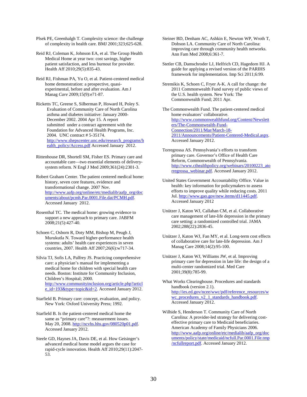Plsek PE, Greenhalgh T. Complexity science: the challenge of complexity in health care. BMJ 2001;323;625-628.

Reid RJ, Coleman K, Johnson EA, et al. The Group Health Medical Home at year two: cost savings, higher patient satisfaction, and less burnout for provider. Health Aff 2010;29(5):835-43.

Reid RJ, Fishman PA, Yu O, et al. Patient-centered medical home demonstration: a prospective, quasiexperimental, before and after evaluation. Am J Manag *Care* 2009;15(9):e71-87.

Ricketts TC, Greene S, Silberman P, Howard H, Poley S. Evaluation of Community Care of North Carolina asthma and diabetes initiative: January 2000- December 2002. 2004 Apr 15. A report submitted under a contract agreement with the Foundation for Advanced Health Programs, Inc. 2004. UNC contract # 5-35174. [http://www.shepscenter.unc.edu/research\\_programs/h](http://www.shepscenter.unc.edu/research_programs/health_policy/Access.pdf) [ealth\\_policy/Access.pdf](http://www.shepscenter.unc.edu/research_programs/health_policy/Access.pdf) Accessed January 2012.

Rittenhouse DR, Shortell SM, Fisher ES. Primary care and accountable care—two essential elements of deliverysystem reform. N Engl J Med 2009;361(24):2301-3.

Robert Graham Center. The patient centered medical home: history, seven core features, evidence and transformational change. 2007 Nov. [http://www.aafp.org/online/etc/medialib/aafp\\_org/doc](http://www.aafp.org/online/etc/medialib/aafp_org/documents/about/pcmh.Par.0001.File.dat/PCMH.pdf) [uments/about/pcmh.Par.0001.File.dat/PCMH.pdf.](http://www.aafp.org/online/etc/medialib/aafp_org/documents/about/pcmh.Par.0001.File.dat/PCMH.pdf) Accessed January 2012.

Rosenthal TC. The medical home: growing evidence to support a new approach to primary care. JABFM 2008;21(5):427-40.

Schoen C, Osborn R, Doty MM, Bishop M, Peugh J, Murukutla N. Toward higher-performance health systems: adults' health care experiences in seven countries, 2007. Health Aff 2007;26(6):w717-34.

Silvia TJ, Sofis LA, Palfrey JS. Practicing comprehensive care: a physician's manual for implementing a medical home for children with special health care needs. Boston: Institute for Community Inclusion, Children's Hospital; 2000. [http://www.communityinclusion.org/article.php?articl](http://www.communityinclusion.org/article.php?article_id=193&type=topic&id=2) [e\\_id=193&type=topic&id=2.](http://www.communityinclusion.org/article.php?article_id=193&type=topic&id=2) Accessed January 2012.

Starfield B. Primary care: concept, evaluation, and policy. New York: Oxford University Press; 1992.

Starfield B. Is the patient-centered medical home the same as "primary care"?: measurement issues. May 20, 2008[. http://ncvhs.hhs.gov/080520p01.pdf.](http://ncvhs.hhs.gov/080520p01.pdf) Accessed January 2012.

Steele GD, Haynes JA, Davis DE, et al. How Geisinger's advanced medical home model argues the case for rapid-cycle innovation. Health Aff 2010;29(11):2047- 53.

Steiner BD, Denham AC, Ashkin E, Newton WP, Wroth T, Dobson LA. Community Care of North Carolina: improving care through community health networks. Ann Fam Med 2008;6:361-7.

Stetler CB, Damschroder LJ, Helfrich CD, Hagedorn HJ. A guide for applying a revised version of the PARIHS framework for implementation. Imp Sci 2011;6:99.

Stremikis K, Schoen C, Fryer A-K. A call for change: the 2011 Commonwealth Fund survey of public views of the U.S. health system. New York: The Commonwealth Fund; 2011 Apr.

The Commonwealth Fund. The patient-centered medical home evaluators' collaborative. [http://www.commonwealthfund.org/Content/Newslett](http://www.commonwealthfund.org/Content/Newsletters/The-Commonwealth-Fund-Connection/2011/Mar/March-18-2011/Announcements/Patient-Centered-Medical.aspx) [ers/The-Commonwealth-Fund-](http://www.commonwealthfund.org/Content/Newsletters/The-Commonwealth-Fund-Connection/2011/Mar/March-18-2011/Announcements/Patient-Centered-Medical.aspx)[Connection/2011/Mar/March-18-](http://www.commonwealthfund.org/Content/Newsletters/The-Commonwealth-Fund-Connection/2011/Mar/March-18-2011/Announcements/Patient-Centered-Medical.aspx) [2011/Announcements/Patient-Centered-Medical.aspx.](http://www.commonwealthfund.org/Content/Newsletters/The-Commonwealth-Fund-Connection/2011/Mar/March-18-2011/Announcements/Patient-Centered-Medical.aspx) Accessed January 2012.

- Torregrossa AS. Pennsylvania's efforts to transform primary care. Governor's Office of Health Care Reform, Commonwealth of Pennsylvania. [http://www.cthealthpolicy.org/webinars/20100223\\_ato](http://www.cthealthpolicy.org/webinars/20100223_atorregrossa_webinar.pdf) [rregrossa\\_webinar.pdf.](http://www.cthealthpolicy.org/webinars/20100223_atorregrossa_webinar.pdf) Accessed January 2012.
- United States Government Accountability Office. Value in health: key information for policymakers to assess efforts to improve quality while reducing costs. 2011 Jul. [http://www.gao.gov/new.items/d11445.pdf.](http://www.gao.gov/new.items/d11445.pdf) Accessed January 2012
- Unützer J, Katon WJ, Callahan CM, et al. Collaborative care management of late-life depression in the primary care setting: a randomized controlled trial. JAMA 2002;288(22):2836-45.
- Unützer J, Katon WJ, Fan MY, et al. Long-term cost effects of collaborative care for late-life depression. Am J Manag Care 2008;14(2):95-100.

Unützer J, Katon WJ, Williams JW, et al. Improving primary care for depression in late life: the design of a multi-center randomized trial. Med Care 2001;39(8):785-99.

What Works Clearinghouse. Procedures and standards handbook (version 2.1). [http://ies.ed.gov/ncee/wwc/pdf/reference\\_resources/w](http://ies.ed.gov/ncee/wwc/pdf/reference_resources/wwc_procedures_v2_1_standards_handbook.pdf) [wc\\_procedures\\_v2\\_1\\_standards\\_handbook.pdf.](http://ies.ed.gov/ncee/wwc/pdf/reference_resources/wwc_procedures_v2_1_standards_handbook.pdf) Accessed January 2012.

Wilhide S, Henderson T. Community Care of North Carolina: A provider-led strategy for delivering costeffective primary care to Medicaid beneficiaries. American Academy of Family Physicians 2006. [http://www.aafp.org/online/etc/medialib/aafp\\_org/doc](http://www.aafp.org/online/etc/medialib/aafp_org/documents/policy/state/medicaid/ncfull.Par.0001.File.tmp/ncfullreport.pdf) [uments/policy/state/medicaid/ncfull.Par.0001.File.tmp](http://www.aafp.org/online/etc/medialib/aafp_org/documents/policy/state/medicaid/ncfull.Par.0001.File.tmp/ncfullreport.pdf) [/ncfullreport.pdf.](http://www.aafp.org/online/etc/medialib/aafp_org/documents/policy/state/medicaid/ncfull.Par.0001.File.tmp/ncfullreport.pdf) Accessed January 2012.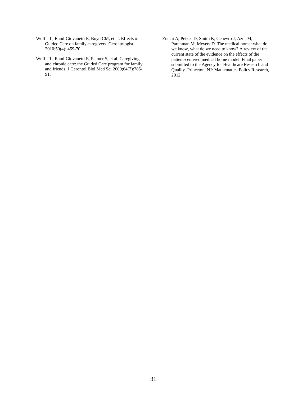- Wolff JL, Rand-Giovanetti E, Boyd CM, et al. Effects of Guided Care on family caregivers. Gerontologist 2010;50(4): 459-70.
- Wolff JL, Rand-Giovanetti E, Palmer S, et al. Caregiving and chronic care: the Guided Care program for family and friends. J Gerontol Biol Med Sci 2009;64(7):785- 91.
- Zutshi A, Peikes D, Smith K, Genevro J, Azur M, Parchman M, Meyers D. The medical home: what do we know, what do we need to know? A review of the current state of the evidence on the effects of the patient-centered medical home model. Final paper submitted to the Agency for Healthcare Research and Quality. Princeton, NJ: Mathematica Policy Research, 2012.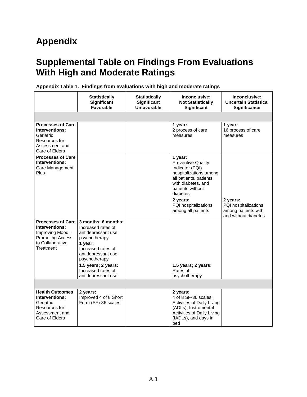# **Appendix**

# **Supplemental Table on Findings From Evaluations With High and Moderate Ratings**

|                                                                                                                           | <b>Statistically</b><br>Significant<br><b>Favorable</b>                                                                                                    | <b>Statistically</b><br><b>Significant</b><br>Unfavorable | Inconclusive:<br><b>Not Statistically</b><br>Significant                                                                                                          | Inconclusive:<br><b>Uncertain Statistical</b><br><b>Significance</b>            |
|---------------------------------------------------------------------------------------------------------------------------|------------------------------------------------------------------------------------------------------------------------------------------------------------|-----------------------------------------------------------|-------------------------------------------------------------------------------------------------------------------------------------------------------------------|---------------------------------------------------------------------------------|
|                                                                                                                           |                                                                                                                                                            |                                                           |                                                                                                                                                                   |                                                                                 |
| <b>Processes of Care</b><br>Interventions:<br>Geriatric<br>Resources for<br>Assessment and<br>Care of Elders              |                                                                                                                                                            |                                                           | 1 year:<br>2 process of care<br>measures                                                                                                                          | 1 year:<br>16 process of care<br>measures                                       |
| <b>Processes of Care</b><br>Interventions:<br>Care Management<br>Plus                                                     |                                                                                                                                                            |                                                           | 1 year:<br><b>Preventive Quality</b><br>Indicator (PQI)<br>hospitalizations among<br>all patients, patients<br>with diabetes, and<br>patients without<br>diabetes |                                                                                 |
|                                                                                                                           |                                                                                                                                                            |                                                           | 2 years:<br>PQI hospitalizations<br>among all patients                                                                                                            | 2 years:<br>PQI hospitalizations<br>among patients with<br>and without diabetes |
| <b>Processes of Care</b><br>Interventions:<br>Improving Mood-<br><b>Promoting Access</b><br>to Collaborative<br>Treatment | 3 months; 6 months:<br>Increased rates of<br>antidepressant use,<br>psychotherapy<br>1 year:<br>Increased rates of<br>antidepressant use,<br>psychotherapy |                                                           |                                                                                                                                                                   |                                                                                 |
|                                                                                                                           | 1.5 years; 2 years:<br>Increased rates of<br>antidepressant use                                                                                            |                                                           | 1.5 years; 2 years:<br>Rates of<br>psychotherapy                                                                                                                  |                                                                                 |
|                                                                                                                           |                                                                                                                                                            |                                                           |                                                                                                                                                                   |                                                                                 |
| <b>Health Outcomes</b><br>Interventions:<br>Geriatric<br>Resources for<br>Assessment and<br>Care of Elders                | 2 years:<br>Improved 4 of 8 Short<br>Form (SF)-36 scales                                                                                                   |                                                           | 2 years:<br>4 of 8 SF-36 scales,<br>Activities of Daily Living<br>(ADLs), Instrumental<br>Activities of Daily Living<br>(IADLs), and days in<br>bed               |                                                                                 |

**Appendix Table 1. Findings from evaluations with high and moderate ratings**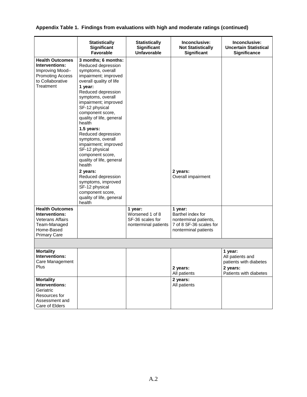| Appendix Table 1. Findings from evaluations with high and moderate ratings (continued) |  |  |  |
|----------------------------------------------------------------------------------------|--|--|--|
|                                                                                        |  |  |  |

|                                                                                                                          | <b>Statistically</b><br>Significant<br>Favorable                                                                                                                                                                                                                                                                                                                                                                                                     | <b>Statistically</b><br>Significant<br><b>Unfavorable</b>              | Inconclusive:<br><b>Not Statistically</b><br>Significant                                                 | Inconclusive:<br><b>Uncertain Statistical</b><br><b>Significance</b>                        |
|--------------------------------------------------------------------------------------------------------------------------|------------------------------------------------------------------------------------------------------------------------------------------------------------------------------------------------------------------------------------------------------------------------------------------------------------------------------------------------------------------------------------------------------------------------------------------------------|------------------------------------------------------------------------|----------------------------------------------------------------------------------------------------------|---------------------------------------------------------------------------------------------|
| <b>Health Outcomes</b><br>Interventions:<br>Improving Mood-<br><b>Promoting Access</b><br>to Collaborative<br>Treatment  | 3 months; 6 months:<br>Reduced depression<br>symptoms, overall<br>impairment; improved<br>overall quality of life<br>1 year:<br>Reduced depression<br>symptoms, overall<br>impairment; improved<br>SF-12 physical<br>component score,<br>quality of life, general<br>health<br>1.5 years:<br>Reduced depression<br>symptoms, overall<br>impairment; improved<br>SF-12 physical<br>component score,<br>quality of life, general<br>health<br>2 years: |                                                                        | 2 years:                                                                                                 |                                                                                             |
|                                                                                                                          | Reduced depression<br>symptoms, improved<br>SF-12 physical<br>component score,<br>quality of life, general<br>health                                                                                                                                                                                                                                                                                                                                 |                                                                        | Overall impairment                                                                                       |                                                                                             |
| <b>Health Outcomes</b><br>Interventions:<br><b>Veterans Affairs</b><br>Team-Managed<br>Home-Based<br><b>Primary Care</b> |                                                                                                                                                                                                                                                                                                                                                                                                                                                      | 1 year:<br>Worsened 1 of 8<br>SF-36 scales for<br>nonterminal patients | 1 year:<br>Barthel index for<br>nonterminal patients,<br>7 of 8 SF-36 scales for<br>nonterminal patients |                                                                                             |
|                                                                                                                          |                                                                                                                                                                                                                                                                                                                                                                                                                                                      |                                                                        |                                                                                                          |                                                                                             |
| <b>Mortality</b><br>Interventions:<br>Care Management<br>Plus                                                            |                                                                                                                                                                                                                                                                                                                                                                                                                                                      |                                                                        | 2 years:<br>All patients                                                                                 | 1 year:<br>All patients and<br>patients with diabetes<br>2 years:<br>Patients with diabetes |
| <b>Mortality</b><br>Interventions:<br>Geriatric<br>Resources for<br>Assessment and<br>Care of Elders                     |                                                                                                                                                                                                                                                                                                                                                                                                                                                      |                                                                        | 2 years:<br>All patients                                                                                 |                                                                                             |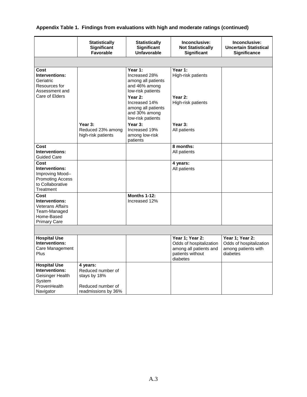| Appendix Table 1. Findings from evaluations with high and moderate ratings (continued) |  |  |
|----------------------------------------------------------------------------------------|--|--|
|                                                                                        |  |  |

|                                                                                                        | <b>Statistically</b><br><b>Significant</b><br><b>Favorable</b>                            | <b>Statistically</b><br><b>Significant</b><br><b>Unfavorable</b>                     | Inconclusive:<br><b>Not Statistically</b><br><b>Significant</b>                                      | Inconclusive:<br><b>Uncertain Statistical</b><br><b>Significance</b>          |
|--------------------------------------------------------------------------------------------------------|-------------------------------------------------------------------------------------------|--------------------------------------------------------------------------------------|------------------------------------------------------------------------------------------------------|-------------------------------------------------------------------------------|
|                                                                                                        |                                                                                           |                                                                                      |                                                                                                      |                                                                               |
| Cost<br>Interventions:<br>Geriatric<br>Resources for<br>Assessment and                                 |                                                                                           | Year 1:<br>Increased 28%<br>among all patients<br>and 46% among<br>low-risk patients | Year 1:<br>High-risk patients                                                                        |                                                                               |
| Care of Elders                                                                                         |                                                                                           | Year 2:<br>Increased 14%<br>among all patients<br>and 30% among<br>low-risk patients | Year 2:<br>High-risk patients                                                                        |                                                                               |
|                                                                                                        | Year 3:<br>Reduced 23% among<br>high-risk patients                                        | Year 3:<br>Increased 19%<br>among low-risk<br>patients                               | Year 3:<br>All patients                                                                              |                                                                               |
| Cost<br>Interventions:<br><b>Guided Care</b>                                                           |                                                                                           |                                                                                      | 8 months:<br>All patients                                                                            |                                                                               |
| Cost<br>Interventions:<br>Improving Mood-<br><b>Promoting Access</b><br>to Collaborative<br>Treatment  |                                                                                           |                                                                                      | 4 years:<br>All patients                                                                             |                                                                               |
| Cost<br>Interventions:<br><b>Veterans Affairs</b><br>Team-Managed<br>Home-Based<br><b>Primary Care</b> |                                                                                           | <b>Months 1-12:</b><br>Increased 12%                                                 |                                                                                                      |                                                                               |
|                                                                                                        |                                                                                           |                                                                                      |                                                                                                      |                                                                               |
| <b>Hospital Use</b><br>Interventions:<br>Care Management<br>Plus                                       |                                                                                           |                                                                                      | Year 1; Year 2:<br>Odds of hospitalization<br>among all patients and<br>patients without<br>diabetes | Year 1; Year 2:<br>Odds of hospitalization<br>among patients with<br>diabetes |
| <b>Hospital Use</b><br>Interventions:<br>Geisinger Health<br>System<br>ProvenHealth<br>Navigator       | 4 years:<br>Reduced number of<br>stays by 18%<br>Reduced number of<br>readmissions by 36% |                                                                                      |                                                                                                      |                                                                               |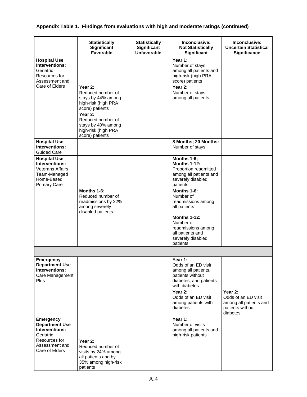|  |  |  | Appendix Table 1. Findings from evaluations with high and moderate ratings (continued) |  |
|--|--|--|----------------------------------------------------------------------------------------|--|
|--|--|--|----------------------------------------------------------------------------------------|--|

|                                                                                                                               | <b>Statistically</b><br>Significant<br><b>Favorable</b>                                                                                                                                      | <b>Statistically</b><br>Significant<br><b>Unfavorable</b> | Inconclusive:<br><b>Not Statistically</b><br><b>Significant</b>                                                                                                                                                                                                                                         | Inconclusive:<br><b>Uncertain Statistical</b><br>Significance                            |
|-------------------------------------------------------------------------------------------------------------------------------|----------------------------------------------------------------------------------------------------------------------------------------------------------------------------------------------|-----------------------------------------------------------|---------------------------------------------------------------------------------------------------------------------------------------------------------------------------------------------------------------------------------------------------------------------------------------------------------|------------------------------------------------------------------------------------------|
| <b>Hospital Use</b><br>Interventions:<br>Geriatric<br>Resources for<br>Assessment and<br>Care of Elders                       | Year 2:<br>Reduced number of<br>stays by 44% among<br>high-risk (high PRA<br>score) patients<br>Year 3:<br>Reduced number of<br>stays by 40% among<br>high-risk (high PRA<br>score) patients |                                                           | Year 1:<br>Number of stays<br>among all patients and<br>high-risk (high PRA<br>score) patients<br>Year 2:<br>Number of stays<br>among all patients                                                                                                                                                      |                                                                                          |
| <b>Hospital Use</b><br>Interventions:<br><b>Guided Care</b>                                                                   |                                                                                                                                                                                              |                                                           | 8 Months; 20 Months:<br>Number of stays                                                                                                                                                                                                                                                                 |                                                                                          |
| <b>Hospital Use</b><br>Interventions:<br><b>Veterans Affairs</b><br>Team-Managed<br>Home-Based<br><b>Primary Care</b>         | Months 1-6:<br>Reduced number of<br>readmissions by 22%<br>among severely<br>disabled patients                                                                                               |                                                           | Months 1-6;<br><b>Months 1-12:</b><br>Proportion readmitted<br>among all patients and<br>severely disabled<br>patients<br>Months 1-6:<br>Number of<br>readmissions among<br>all patients<br><b>Months 1-12:</b><br>Number of<br>readmissions among<br>all patients and<br>severely disabled<br>patients |                                                                                          |
|                                                                                                                               |                                                                                                                                                                                              |                                                           |                                                                                                                                                                                                                                                                                                         |                                                                                          |
| <b>Emergency</b><br><b>Department Use</b><br>Interventions:<br>Care Management<br>Plus                                        |                                                                                                                                                                                              |                                                           | Year 1:<br>Odds of an ED visit<br>among all patients,<br>patients without<br>diabetes, and patients<br>with diabetes<br>Year 2:<br>Odds of an ED visit<br>among patients with<br>diabetes                                                                                                               | Year 2:<br>Odds of an ED visit<br>among all patients and<br>patients without<br>diabetes |
| <b>Emergency</b><br><b>Department Use</b><br>Interventions:<br>Geriatric<br>Resources for<br>Assessment and<br>Care of Elders | Year 2:<br>Reduced number of<br>visits by 24% among<br>all patients and by<br>35% among high-risk<br>patients                                                                                |                                                           | Year 1:<br>Number of visits<br>among all patients and<br>high-risk patients                                                                                                                                                                                                                             |                                                                                          |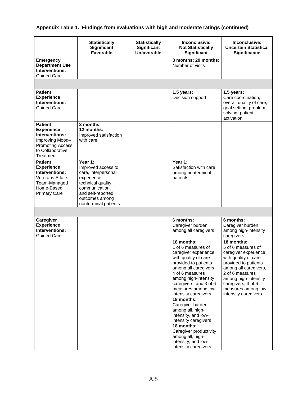### **Appendix Table 1. Findings from evaluations with high and moderate ratings (continued)**

|                                                                                                                                       | <b>Statistically</b><br>Significant<br><b>Favorable</b>                                                                                                                    | <b>Statistically</b><br>Significant<br><b>Unfavorable</b> | Inconclusive:<br><b>Not Statistically</b><br>Significant                                                                                                                                                                                                                                                                                                                                                                                                                                                                       | Inconclusive:<br><b>Uncertain Statistical</b><br><b>Significance</b>                                                                                                                                                                                                                                                     |
|---------------------------------------------------------------------------------------------------------------------------------------|----------------------------------------------------------------------------------------------------------------------------------------------------------------------------|-----------------------------------------------------------|--------------------------------------------------------------------------------------------------------------------------------------------------------------------------------------------------------------------------------------------------------------------------------------------------------------------------------------------------------------------------------------------------------------------------------------------------------------------------------------------------------------------------------|--------------------------------------------------------------------------------------------------------------------------------------------------------------------------------------------------------------------------------------------------------------------------------------------------------------------------|
| <b>Emergency</b><br><b>Department Use</b><br>Interventions:<br><b>Guided Care</b>                                                     |                                                                                                                                                                            |                                                           | 8 months; 20 months:<br>Number of visits                                                                                                                                                                                                                                                                                                                                                                                                                                                                                       |                                                                                                                                                                                                                                                                                                                          |
|                                                                                                                                       |                                                                                                                                                                            |                                                           |                                                                                                                                                                                                                                                                                                                                                                                                                                                                                                                                |                                                                                                                                                                                                                                                                                                                          |
| <b>Patient</b><br><b>Experience</b><br>Interventions:<br><b>Guided Care</b>                                                           |                                                                                                                                                                            |                                                           | 1.5 years:<br>Decision support                                                                                                                                                                                                                                                                                                                                                                                                                                                                                                 | 1.5 years:<br>Care coordination,<br>overall quality of care,<br>goal setting, problem<br>solving, patient<br>activation                                                                                                                                                                                                  |
| <b>Patient</b><br><b>Experience</b><br>Interventions:<br>Improving Mood-<br><b>Promoting Access</b><br>to Collaborative<br>Treatment  | 3 months;<br>12 months:<br>Improved satisfaction<br>with care                                                                                                              |                                                           |                                                                                                                                                                                                                                                                                                                                                                                                                                                                                                                                |                                                                                                                                                                                                                                                                                                                          |
| <b>Patient</b><br><b>Experience</b><br>Interventions:<br><b>Veterans Affairs</b><br>Team-Managed<br>Home-Based<br><b>Primary Care</b> | Year 1:<br>Improved access to<br>care, interpersonal<br>experience,<br>technical quality,<br>communication,<br>and self-reported<br>outcomes among<br>nonterminal patients |                                                           | Year 1:<br>Satisfaction with care<br>among nonterminal<br>patients                                                                                                                                                                                                                                                                                                                                                                                                                                                             |                                                                                                                                                                                                                                                                                                                          |
|                                                                                                                                       |                                                                                                                                                                            |                                                           |                                                                                                                                                                                                                                                                                                                                                                                                                                                                                                                                |                                                                                                                                                                                                                                                                                                                          |
| Caregiver<br><b>Experience</b><br>Interventions:<br><b>Guided Care</b>                                                                |                                                                                                                                                                            |                                                           | 6 months:<br>Caregiver burden<br>among all caregivers<br>18 months:<br>1 of 6 measures of<br>caregiver experience<br>with quality of care<br>provided to patients<br>among all caregivers,<br>4 of 6 measures<br>among high-intensity<br>caregivers, and 3 of 6<br>measures among low-<br>intensity caregivers<br>18 months:<br>Caregiver burden<br>among all, high-<br>intensity, and low-<br>intensity caregivers<br>18 months:<br>Caregiver productivity<br>among all, high-<br>intensity, and low-<br>intensity caregivers | 6 months:<br>Caregiver burden<br>among high-intensity<br>caregivers<br>18 months:<br>5 of 6 measures of<br>caregiver experience<br>with quality of care<br>provided to patients<br>among all caregivers,<br>2 of 6 measures<br>among high-intensity<br>caregivers, 3 of 6<br>measures among low-<br>intensity caregivers |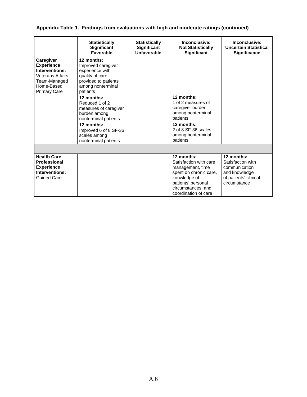### **Appendix Table 1. Findings from evaluations with high and moderate ratings (continued)**

|                                                                                                                                  | <b>Statistically</b><br>Significant<br>Favorable                                                                                                                                                                                                                                                                | <b>Statistically</b><br>Significant<br><b>Unfavorable</b> | Inconclusive:<br><b>Not Statistically</b><br><b>Significant</b>                                                                                                        | Inconclusive:<br><b>Uncertain Statistical</b><br><b>Significance</b>                                       |
|----------------------------------------------------------------------------------------------------------------------------------|-----------------------------------------------------------------------------------------------------------------------------------------------------------------------------------------------------------------------------------------------------------------------------------------------------------------|-----------------------------------------------------------|------------------------------------------------------------------------------------------------------------------------------------------------------------------------|------------------------------------------------------------------------------------------------------------|
| Caregiver<br><b>Experience</b><br>Interventions:<br><b>Veterans Affairs</b><br>Team-Managed<br>Home-Based<br><b>Primary Care</b> | 12 months:<br>Improved caregiver<br>experience with<br>quality of care<br>provided to patients<br>among nonterminal<br>patients<br>12 months:<br>Reduced 1 of 2<br>measures of caregiver<br>burden among<br>nonterminal patients<br>12 months:<br>Improved 6 of 8 SF-36<br>scales among<br>nonterminal patients |                                                           | 12 months:<br>1 of 2 measures of<br>caregiver burden<br>among nonterminal<br>patients<br>12 months:<br>2 of 8 SF-36 scales<br>among nonterminal<br>patients            |                                                                                                            |
|                                                                                                                                  |                                                                                                                                                                                                                                                                                                                 |                                                           |                                                                                                                                                                        |                                                                                                            |
| <b>Health Care</b><br><b>Professional</b><br><b>Experience</b><br>Interventions:<br><b>Guided Care</b>                           |                                                                                                                                                                                                                                                                                                                 |                                                           | 12 months:<br>Satisfaction with care<br>management, time<br>spent on chronic care,<br>knowledge of<br>patients' personal<br>circumstances, and<br>coordination of care | 12 months:<br>Satisfaction with<br>communication<br>and knowledge<br>of patients' clinical<br>circumstance |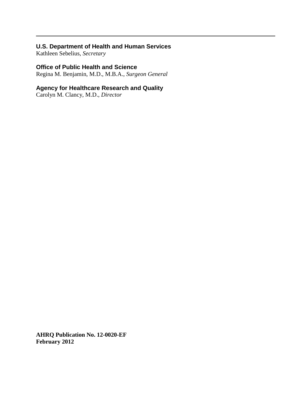### **U.S. Department of Health and Human Services**

Kathleen Sebelius, *Secretary*

### **Office of Public Health and Science**

Regina M. Benjamin, M.D., M.B.A., *Surgeon General*

### **Agency for Healthcare Research and Quality**

Carolyn M. Clancy, M.D., *Director*

**AHRQ Publication No. 12-0020-EF February 2012**